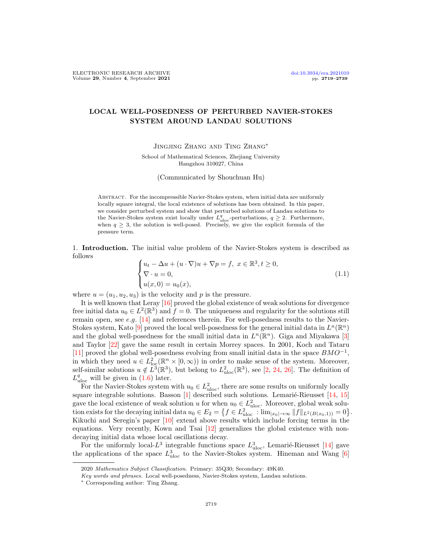## LOCAL WELL-POSEDNESS OF PERTURBED NAVIER-STOKES SYSTEM AROUND LANDAU SOLUTIONS

Jingjing Zhang and Ting Zhang∗

School of Mathematical Sciences, Zhejiang University Hangzhou 310027, China

(Communicated by Shouchuan Hu)

Abstract. For the incompressible Navier-Stokes system, when initial data are uniformly locally square integral, the local existence of solutions has been obtained. In this paper, we consider perturbed system and show that perturbed solutions of Landau solutions to the Navier-Stokes system exist locally under  $L_{\text{uloc}}^q$ -perturbations,  $q \geq 2$ . Furthermore, when  $q \geq 3$ , the solution is well-posed. Precisely, we give the explicit formula of the pressure term.

1. Introduction. The initial value problem of the Navier-Stokes system is described as follows

<span id="page-0-0"></span>
$$
\begin{cases}\n u_t - \Delta u + (u \cdot \nabla)u + \nabla p = f, \ x \in \mathbb{R}^3, t \ge 0, \\
 \nabla \cdot u = 0, \\
 u(x, 0) = u_0(x),\n\end{cases}
$$
\n(1.1)

where  $u = (u_1, u_2, u_3)$  is the velocity and p is the pressure.

It is well known that Leray [\[16\]](#page-20-0) proved the global existence of weak solutions for divergence free initial data  $u_0 \in L^2(\mathbb{R}^3)$  and  $f = 0$ . The uniqueness and regularity for the solutions still remain open, see e.g.  $[14]$  and references therein. For well-posedness results to the Navier-Stokes system, Kato [\[9\]](#page-19-0) proved the local well-posedness for the general initial data in  $L^n(\mathbb{R}^n)$ and the global well-posedness for the small initial data in  $L^n(\mathbb{R}^n)$ . Giga and Miyakawa [\[3\]](#page-19-1) and Taylor [\[22\]](#page-20-2) gave the same result in certain Morrey spaces. In 2001, Koch and Tataru [\[11\]](#page-20-3) proved the global well-posedness evolving from small initial data in the space  $BMO^{-1}$ , in which they need  $u \in L^2_{loc}(\mathbb{R}^n \times [0,\infty))$  in order to make sense of the system. Moreover, self-similar solutions  $u \notin L^3(\mathbb{R}^3)$ , but belong to  $L^2_{uloc}(\mathbb{R}^3)$ , see [\[2,](#page-19-2) [24,](#page-20-4) [26\]](#page-20-5). The definition of  $L_{\text{uloc}}^q$  will be given in  $(1.6)$  later.

For the Navier-Stokes system with  $u_0 \in L^2_{uloc}$ , there are some results on uniformly locally square integrable solutions. Basson  $[1]$  described such solutions. Lemarié-Rieusset  $[14, 15]$  $[14, 15]$ gave the local existence of weak solution u for when  $u_0 \in L^2_{uloc}$ . Moreover, global weak solution exists for the decaying initial data  $u_0 \in E_2 = \left\{ f \in L^2_{uloc} : \lim_{|x_0| \to \infty} ||f||_{L^2(B(x_0,1))} = 0 \right\}.$ Kikuchi and Seregin's paper  $[10]$  extend above results which include forcing terms in the equations. Very recently, Kown and Tsai [\[12\]](#page-20-8) generalizes the global existence with nondecaying initial data whose local oscillations decay.

For the uniformly local- $L^3$  integrable functions space  $L^3_{\text{uloc}}$ , Lemarié-Rieusset [\[14\]](#page-20-1) gave the applications of the space  $L^3_{\text{uloc}}$  to the Navier-Stokes system. Hineman and Wang [\[6\]](#page-19-4)

<sup>2020</sup> Mathematics Subject Classification. Primary: 35Q30; Secondary: 49K40.

Key words and phrases. Local well-posedness, Navier-Stokes system, Landau solutions.

<sup>∗</sup> Corresponding author: Ting Zhang.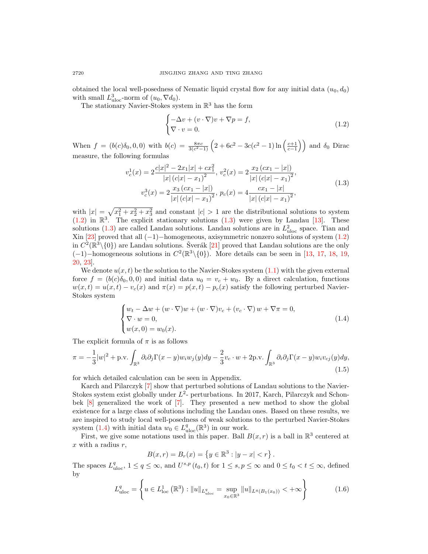obtained the local well-posedness of Nematic liquid crystal flow for any initial data  $(u_0, d_0)$ with small  $L^3_{uloc}$ -norm of  $(u_0, \nabla d_0)$ .

The stationary Navier-Stokes system in  $\mathbb{R}^3$  has the form

<span id="page-1-1"></span>
$$
\begin{cases}\n-\Delta v + (v \cdot \nabla)v + \nabla p = f, \\
\nabla \cdot v = 0.\n\end{cases}
$$
\n(1.2)

When  $f = (b(c)\delta_0, 0, 0)$  with  $b(c) = \frac{8\pi c}{3(c^2-1)} \left(2 + 6c^2 - 3c(c^2 - 1) \ln\left(\frac{c+1}{c-1}\right)\right)$  and  $\delta_0$  Dirac measure, the following formulas

<span id="page-1-2"></span>
$$
v_c^1(x) = 2 \frac{c|x|^2 - 2x_1|x| + cx_1^2}{|x| (c|x| - x_1)^2}, \ v_c^2(x) = 2 \frac{x_2 (cx_1 - |x|)}{|x| (c|x| - x_1)^2},
$$
  

$$
v_c^3(x) = 2 \frac{x_3 (cx_1 - |x|)}{|x| (c|x| - x_1)^2}, \ p_c(x) = 4 \frac{cx_1 - |x|}{|x| (c|x| - x_1)^2},
$$
\n(1.3)

with  $|x| = \sqrt{x_1^2 + x_2^2 + x_3^2}$  and constant  $|c| > 1$  are the distributional solutions to system  $(1.2)$  in  $\mathbb{R}^3$ . The explicit stationary solutions  $(1.3)$  were given by Landau [\[13\]](#page-20-9). These solutions [\(1.3\)](#page-1-2) are called Landau solutions. Landau solutions are in  $L^2_{uloc}$  space. Tian and Xin [\[23\]](#page-20-10) proved that all  $(-1)$ -homogeneous, axisymmetric nonzero solutions of system  $(1.2)$ in  $C^2(\mathbb{R}^3\setminus\{0\})$  are Landau solutions. Šverák [[21\]](#page-20-11) proved that Landau solutions are the only  $(-1)$  – homogeneous solutions in  $C^2(\mathbb{R}^3\setminus\{0\})$ . More details can be seen in [\[13,](#page-20-9) [17,](#page-20-12) [18,](#page-20-13) [19,](#page-20-14) [20,](#page-20-15) [23\]](#page-20-10).

We denote  $u(x, t)$  be the solution to the Navier-Stokes system  $(1.1)$  with the given external force  $f = (b(c)\delta_0, 0, 0)$  and initial data  $u_0 = v_c + w_0$ . By a direct calculation, functions  $w(x,t) = u(x,t) - v_c(x)$  and  $\pi(x) = p(x,t) - p_c(x)$  satisfy the following perturbed Navier-Stokes system

<span id="page-1-3"></span>
$$
\begin{cases} w_t - \Delta w + (w \cdot \nabla)w + (w \cdot \nabla)v_c + (v_c \cdot \nabla)w + \nabla \pi = 0, \\ \nabla \cdot w = 0, \\ w(x, 0) = w_0(x). \end{cases}
$$
(1.4)

The explicit formula of  $\pi$  is as follows

<span id="page-1-4"></span>
$$
\pi = -\frac{1}{3}|w|^2 + \text{p.v.} \int_{\mathbb{R}^3} \partial_i \partial_j \Gamma(x - y) w_i w_j(y) dy - \frac{2}{3} v_c \cdot w + 2 \text{p.v.} \int_{\mathbb{R}^3} \partial_i \partial_j \Gamma(x - y) w_i v_{cj}(y) dy,
$$
\n(1.5)

for which detailed calculation can be seen in Appendix.

Karch and Pilarczyk [\[7\]](#page-19-5) show that perturbed solutions of Landau solutions to the Navier-Stokes system exist globally under  $L^2$ - perturbations. In 2017, Karch, Pilarczyk and Schonbek [\[8\]](#page-19-6) generalized the work of [\[7\]](#page-19-5). They presented a new method to show the global existence for a large class of solutions including the Landau ones. Based on these results, we are inspired to study local well-posedness of weak solutions to the perturbed Navier-Stokes system [\(1.4\)](#page-1-3) with initial data  $w_0 \in L^q_{\text{uloc}}(\mathbb{R}^3)$  in our work.

First, we give some notations used in this paper. Ball  $B(x, r)$  is a ball in  $\mathbb{R}^3$  centered at x with a radius  $r$ ,

$$
B(x,r) = B_r(x) = \{ y \in \mathbb{R}^3 : |y - x| < r \} \, .
$$

The spaces  $L_{\text{uloc}}^q, 1 \le q \le \infty$ , and  $U^{s,p}(t_0,t)$  for  $1 \le s, p \le \infty$  and  $0 \le t_0 < t \le \infty$ , defined by

<span id="page-1-0"></span>
$$
L_{\text{uloc}}^q = \left\{ u \in L_{\text{loc}}^1 \left( \mathbb{R}^3 \right) : \|u\|_{L_{\text{uloc}}^q} = \sup_{x_0 \in \mathbb{R}^3} \|u\|_{L^q(B_1(x_0))} < +\infty \right\}
$$
(1.6)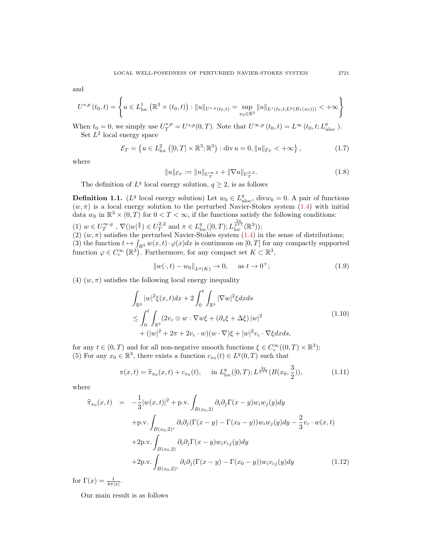and

$$
U^{s,p}(t_0,t) = \left\{ u \in L^1_{loc} \left( \mathbb{R}^3 \times (t_0,t) \right) : ||u||_{U^{s,p}(t_0,t)} = \sup_{x_0 \in \mathbb{R}^3} ||u||_{L^s(t_0,t;L^p(B_1(x_0)))} < +\infty \right\}
$$

When  $t_0 = 0$ , we simply use  $U_T^{s,p} = U^{s,p}(0,T)$ . Note that  $U^{\infty,p}(t_0,t) = L^{\infty}(t_0,t;L_{\text{uloc}}^p)$ . Set  $L^2$  local energy space

<span id="page-2-0"></span>
$$
\mathcal{E}_T = \left\{ u \in L^2_{\text{loc}} \left( [0, T] \times \mathbb{R}^3; \mathbb{R}^3 \right) : \text{div } u = 0, \|u\|_{\mathcal{E}_T} < +\infty \right\},\tag{1.7}
$$

where

$$
||u||_{\mathcal{E}_T} := ||u||_{U_T^{\infty,2}} + ||\nabla u||_{U_T^{2,2}}.
$$
\n(1.8)

The definition of  $L^q$  local energy solution,  $q \geq 2$ , is as follows

**Definition 1.1.** ( $L^q$  local energy solution) Let  $w_0 \in L^q_{uloc}$ , div $w_0 = 0$ . A pair of functions  $(w, \pi)$  is a local energy solution to the perturbed Navier-Stokes system [\(1.4\)](#page-1-3) with initial data  $w_0$  in  $\mathbb{R}^3 \times (0,T)$  for  $0 < T < \infty$ , if the functions satisfy the following conditions:

(1)  $w \in U_T^{\infty,q}$ ,  $\nabla(|w|^{\frac{q}{2}}) \in U_T^{2,2}$  and  $\pi \in L^q_{loc}([0,T); L_{loc}^{\frac{2q}{q+1}}(\mathbb{R}^3));$ 

 $(2)$   $(w, \pi)$  satisfies the perturbed Navier-Stokes system  $(1.4)$  in the sense of distributions; (3) the function  $t \mapsto \int_{R^3} w(x, t) \cdot \varphi(x) dx$  is continuous on  $[0, T]$  for any compactly supported function  $\varphi \in C_c^{\infty}(\mathbb{R}^3)$ . Furthermore, for any compact set  $K \subset \mathbb{R}^3$ ,

$$
||w(\cdot, t) - w_0||_{L^q(K)} \to 0, \quad \text{as } t \to 0^+;
$$
 (1.9)

(4)  $(w, \pi)$  satisfies the following local energy inequality

$$
\int_{\mathbb{R}^3} |w|^2 \xi(x, t) dx + 2 \int_0^t \int_{\mathbb{R}^3} |\nabla w|^2 \xi dx ds
$$
\n
$$
\leq \int_0^t \int_{\mathbb{R}^3} (2v_c \otimes w : \nabla w \xi + (\partial_s \xi + \Delta \xi) |w|^2
$$
\n
$$
+ (|w|^2 + 2\pi + 2v_c \cdot w)(w \cdot \nabla) \xi + |w|^2 v_c \cdot \nabla \xi dx ds,
$$
\n(1.10)

for any  $t \in (0, T)$  and for all non-negative smooth functions  $\xi \in C_c^{\infty}((0, T) \times \mathbb{R}^3)$ ; (5) For any  $x_0 \in \mathbb{R}^3$ , there exists a function  $c_{x_0}(t) \in L^q(0,T)$  such that

$$
\pi(x,t) = \hat{\pi}_{x_0}(x,t) + c_{x_0}(t), \quad \text{ in } L^q_{\text{loc}}([0,T); L^{\frac{2q}{q+1}}(B(x_0, \frac{3}{2})), \tag{1.11}
$$

where

$$
\hat{\pi}_{x_0}(x,t) = -\frac{1}{3}|w(x,t)|^2 + \text{p.v.} \int_{B(x_0,2)} \partial_i \partial_j \Gamma(x-y) w_i w_j(y) dy \n+ \text{p.v.} \int_{B(x_0,2)^c} \partial_i \partial_j (\Gamma(x-y) - \Gamma(x_0-y)) w_i w_j(y) dy - \frac{2}{3} v_c \cdot w(x,t) \n+ 2 \text{p.v.} \int_{B(x_0,2)} \partial_i \partial_j \Gamma(x-y) w_i v_{cj}(y) dy \n+ 2 \text{p.v.} \int_{B(x_0,2)^c} \partial_i \partial_j (\Gamma(x-y) - \Gamma(x_0-y)) w_i v_{cj}(y) dy
$$
\n(1.12)

for  $\Gamma(x) = \frac{1}{4\pi|x|}$ .

Our main result is as follows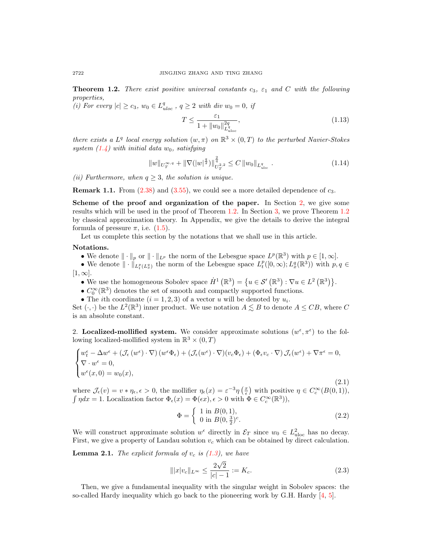<span id="page-3-1"></span>**Theorem 1.2.** There exist positive universal constants  $c_3$ ,  $\varepsilon_1$  and C with the following properties,

(i) For every  $|c| \ge c_3$ ,  $w_0 \in L_{uloc}^q$ ,  $q \ge 2$  with div  $w_0 = 0$ , if

$$
T \le \frac{\varepsilon_1}{1 + \|w_0\|_{L^q_{uloc}}^{2q}},\tag{1.13}
$$

there exists a  $L^q$  local energy solution  $(w, \pi)$  on  $\mathbb{R}^3 \times (0,T)$  to the perturbed Navier-Stokes system  $(1.4)$  with initial data  $w_0$ , satisfying

<span id="page-3-3"></span>
$$
||w||_{U_T^{\infty,q}} + ||\nabla (|w|^{\frac{q}{2}})||_{U_T^{2,2}}^{\frac{q}{q}} \le C ||w_0||_{L_{uloc}^q}.
$$
\n(1.14)

(ii) Furthermore, when  $q \geq 3$ , the solution is unique.

**Remark 1.1.** From  $(2.38)$  and  $(3.55)$ , we could see a more detailed dependence of  $c_3$ .

Scheme of the proof and organization of the paper. In Section [2,](#page-3-0) we give some results which will be used in the proof of Theorem [1.2.](#page-3-1) In Section [3,](#page-9-0) we prove Theorem [1.2](#page-3-1) by classical approximation theory. In Appendix, we give the details to derive the integral formula of pressure  $\pi$ , i.e.  $(1.5)$  $(1.5)$ .

Let us complete this section by the notations that we shall use in this article.

## Notations.

- We denote  $\|\cdot\|_p$  or  $\|\cdot\|_{L^p}$  the norm of the Lebesgue space  $L^p(\mathbb{R}^3)$  with  $p \in [1,\infty]$ .
- We denote  $\|\cdot\|_{L_t^p(L_x^q)}$  the norm of the Lebesgue space  $L_t^p([0,\infty);L_x^q(\mathbb{R}^3))$  with  $p,q\in$  $[1,\infty].$ 
	- We use the homogeneous Sobolev space  $\dot{H}^1(\mathbb{R}^3) = \{u \in \mathcal{S}'(\mathbb{R}^3) : \nabla u \in L^2(\mathbb{R}^3) \}.$
	- $\bullet$   $C_0^\infty(\mathbb{R}^3)$  denotes the set of smooth and compactly supported functions.
	- The *i*th coordinate  $(i = 1, 2, 3)$  of a vector u will be denoted by  $u_i$ .

Set  $(\cdot, \cdot)$  be the  $L^2(\mathbb{R}^3)$  inner product. We use notation  $A \leq B$  to denote  $A \leq CB$ , where C is an absolute constant.

<span id="page-3-0"></span>2. Localized-mollified system. We consider approximate solutions  $(w^{\epsilon}, \pi^{\epsilon})$  to the following localized-mollified system in  $\mathbb{R}^3 \times (0,T)$ 

<span id="page-3-2"></span>
$$
\begin{cases} w_{t}^{\epsilon} - \Delta w^{\epsilon} + (\mathcal{J}_{\epsilon}(w^{\epsilon}) \cdot \nabla) (w^{\epsilon} \Phi_{\epsilon}) + (\mathcal{J}_{\epsilon}(w^{\epsilon}) \cdot \nabla) (v_{c} \Phi_{\epsilon}) + (\Phi_{\epsilon} v_{c} \cdot \nabla) \mathcal{J}_{\epsilon}(w^{\epsilon}) + \nabla \pi^{\epsilon} = 0, \\ \nabla \cdot w^{\epsilon} = 0, \\ w^{\epsilon}(x, 0) = w_{0}(x), \end{cases}
$$

(2.1) where  $\mathcal{J}_{\epsilon}(v) = v * \eta_{\epsilon}, \epsilon > 0$ , the mollifier  $\eta_{\epsilon}(x) = \epsilon^{-3} \eta\left(\frac{x}{\epsilon}\right)$  with positive  $\eta \in C_c^{\infty}(B(0,1)),$  $\int \eta dx = 1$ . Localization factor  $\Phi_{\epsilon}(x) = \Phi(\epsilon x), \epsilon > 0$  with  $\Phi \in C_c^{\infty}(\mathbb{R}^3)$ ,

$$
\Phi = \begin{cases} 1 \text{ in } B(0,1), \\ 0 \text{ in } B(0,\frac{3}{2})^c. \end{cases}
$$
 (2.2)

We will construct approximate solution  $w^{\epsilon}$  directly in  $\mathcal{E}_T$  since  $w_0 \in L^2_{uloc}$  has no decay. First, we give a property of Landau solution  $v_c$  which can be obtained by direct calculation.

<span id="page-3-4"></span>**Lemma 2.1.** The explicit formula of  $v_c$  is  $(1.3)$ , we have

$$
|||x|v_c||_{L^{\infty}} \le \frac{2\sqrt{2}}{|c|-1} := K_c.
$$
\n(2.3)

Then, we give a fundamental inequality with the singular weight in Sobolev spaces: the so-called Hardy inequality which go back to the pioneering work by G.H. Hardy [\[4,](#page-19-7) [5\]](#page-19-8).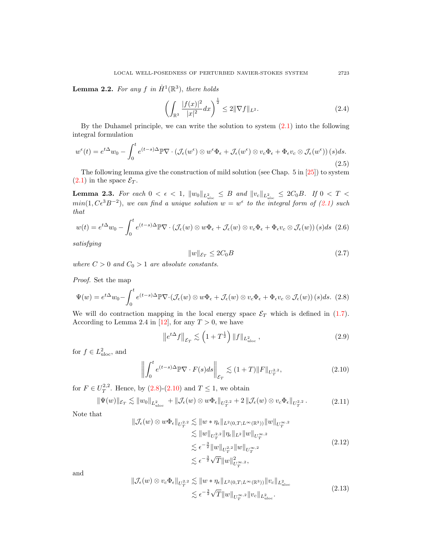**Lemma 2.2.** For any  $f$  in  $\dot{H}^1(\mathbb{R}^3)$ , there holds

$$
\left(\int_{\mathbb{R}^3} \frac{|f(x)|^2}{|x|^2} dx\right)^{\frac{1}{2}} \le 2\|\nabla f\|_{L^2}.\tag{2.4}
$$

By the Duhamel principle, we can write the solution to system [\(2.1\)](#page-3-2) into the following integral formulation

$$
w^{\epsilon}(t) = e^{t\Delta}w_0 - \int_0^t e^{(t-s)\Delta} \mathbb{P} \nabla \cdot (\mathcal{J}_{\epsilon}(w^{\epsilon}) \otimes w^{\epsilon} \Phi_{\epsilon} + \mathcal{J}_{\epsilon}(w^{\epsilon}) \otimes v_c \Phi_{\epsilon} + \Phi_{\epsilon} v_c \otimes \mathcal{J}_{\epsilon}(w^{\epsilon})) (s) ds.
$$
\n(2.5)

The following lemma give the construction of mild solution (see Chap.  $5 \text{ in } [25]$  $5 \text{ in } [25]$ ) to system  $(2.1)$  in the space  $\mathcal{E}_T$ .

<span id="page-4-2"></span>**Lemma 2.3.** For each  $0 < \epsilon < 1$ ,  $\|w_0\|_{L^2_{uloc}} \leq B$  and  $\|v_c\|_{L^2_{uloc}} \leq 2C_0B$ . If  $0 < T <$  $min(1, Ce^{3}B^{-2}),$  we can find a unique solution  $w = w^{\epsilon}$  to the integral form of [\(2.1\)](#page-3-2) such that

$$
w(t) = e^{t\Delta}w_0 - \int_0^t e^{(t-s)\Delta} \mathbb{P} \nabla \cdot (\mathcal{J}_{\epsilon}(w) \otimes w\Phi_{\epsilon} + \mathcal{J}_{\epsilon}(w) \otimes v_c \Phi_{\epsilon} + \Phi_{\epsilon} v_c \otimes \mathcal{J}_{\epsilon}(w)) (s) ds \tag{2.6}
$$

satisfying

$$
||w||_{\mathcal{E}_T} \le 2C_0B\tag{2.7}
$$

where  $C > 0$  and  $C_0 > 1$  are absolute constants.

Proof. Set the map

<span id="page-4-0"></span>
$$
\Psi(w) = e^{t\Delta}w_0 - \int_0^t e^{(t-s)\Delta} \mathbb{P} \nabla \cdot (\mathcal{J}_{\epsilon}(w) \otimes w\Phi_{\epsilon} + \mathcal{J}_{\epsilon}(w) \otimes v_c \Phi_{\epsilon} + \Phi_{\epsilon} v_c \otimes \mathcal{J}_{\epsilon}(w)) (s) ds. (2.8)
$$

We will do contraction mapping in the local energy space  $\mathcal{E}_T$  which is defined in [\(1.7\)](#page-2-0). According to Lemma 2.4 in [\[12\]](#page-20-8), for any  $T > 0$ , we have

$$
\left\|e^{t\Delta}f\right\|_{\mathcal{E}_T} \lesssim \left(1+T^{\frac{1}{2}}\right) \|f\|_{L^2_{uloc}},\tag{2.9}
$$

for  $f \in L^2_{uloc}$ , and

<span id="page-4-1"></span>
$$
\left\| \int_0^t e^{(t-s)\Delta} \mathbb{P} \nabla \cdot F(s) ds \right\|_{\mathcal{E}_T} \lesssim (1+T) \|F\|_{U_T^{2,2}},\tag{2.10}
$$

for  $F \in U_T^{2,2}$ . Hence, by  $(2.8)-(2.10)$  $(2.8)-(2.10)$  and  $T \leq 1$ , we obtain

$$
\|\Psi(w)\|_{\mathcal{E}_T} \lesssim \|w_0\|_{L^2_{uloc}} + \|\mathcal{J}_{\epsilon}(w) \otimes w\Phi_{\epsilon}\|_{U_T^{2,2}} + 2\|\mathcal{J}_{\epsilon}(w) \otimes v_c\Phi_{\epsilon}\|_{U_T^{2,2}}.
$$
 (2.11)

Note that

$$
\|\mathcal{J}_{\epsilon}(w) \otimes w\Phi_{\epsilon}\|_{U_T^{2,2}} \lesssim \|w*\eta_{\epsilon}\|_{L^2(0,T;L^{\infty}(\mathbb{R}^3))} \|w\|_{U_T^{\infty,2}} \lesssim \|w\|_{U_T^{2,2}} \|\eta_{\epsilon}\|_{L^2} \|w\|_{U_T^{\infty,2}} \lesssim \epsilon^{-\frac{3}{2}} \|w\|_{U_T^{2,2}} \|w\|_{U_T^{\infty,2}} \lesssim \epsilon^{-\frac{3}{2}} \sqrt{T} \|w\|_{U_T^{\infty,2}},
$$
\n(2.12)

and

$$
\|\mathcal{J}_{\epsilon}(w) \otimes v_{c} \Phi_{\epsilon}\|_{U_{T}^{2,2}} \lesssim \|w * \eta_{\epsilon}\|_{L^{2}(0,T;L^{\infty}(\mathbb{R}^{3}))} \|v_{c}\|_{L_{\text{uloc}}^{2}} \lesssim \epsilon^{-\frac{3}{2}} \sqrt{T} \|w\|_{U_{T}^{\infty,2}} \|v_{c}\|_{L_{\text{uloc}}^{2}}.
$$
\n(2.13)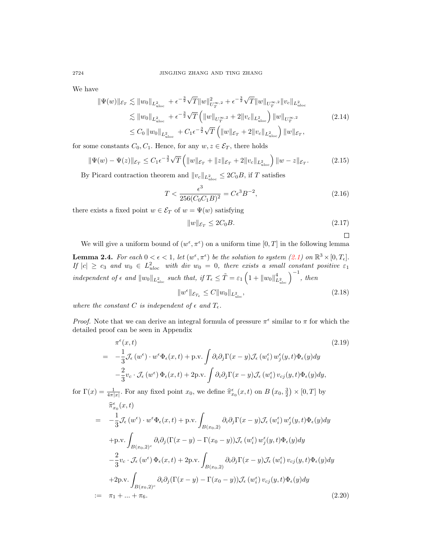We have

$$
\begin{split} \|\Psi(w)\|_{\mathcal{E}_T} &\lesssim \|w_0\|_{L^2_{\text{uloc}}} + \epsilon^{-\frac{3}{2}} \sqrt{T} \|w\|_{U_T^{\infty,2}}^2 + \epsilon^{-\frac{3}{2}} \sqrt{T} \|w\|_{U_T^{\infty,2}} \|v_c\|_{L^2_{\text{uloc}}} \\ &\lesssim \|w_0\|_{L^2_{\text{uloc}}} + \epsilon^{-\frac{3}{2}} \sqrt{T} \left( \|w\|_{U_T^{\infty,2}} + 2 \|v_c\|_{L^2_{\text{uloc}}} \right) \|w\|_{U_T^{\infty,2}} \\ &\le C_0 \|w_0\|_{L^2_{\text{uloc}}} + C_1 \epsilon^{-\frac{3}{2}} \sqrt{T} \left( \|w\|_{\mathcal{E}_T} + 2 \|v_c\|_{L^2_{\text{uloc}}} \right) \|w\|_{\mathcal{E}_T}, \end{split} \tag{2.14}
$$

for some constants  $C_0, C_1$ . Hence, for any  $w, z \in \mathcal{E}_T$ , there holds

$$
\|\Psi(w) - \Psi(z)\|_{\mathcal{E}_T} \le C_1 \epsilon^{-\frac{3}{2}} \sqrt{T} \left( \|w\|_{\mathcal{E}_T} + \|z\|_{\mathcal{E}_T} + 2\|v_c\|_{L^2_{uloc}} \right) \|w - z\|_{\mathcal{E}_T}.
$$
 (2.15)

By Picard contraction theorem and  $||v_c||_{L^2_{uloc}} \leq 2C_0B$ , if T satisfies

$$
T < \frac{\epsilon^3}{256(C_0 C_1 B)^2} = C \epsilon^3 B^{-2},\tag{2.16}
$$

there exists a fixed point  $w \in \mathcal{E}_T$  of  $w = \Psi(w)$  satisfying

$$
||w||_{\mathcal{E}_T} \le 2C_0 B. \tag{2.17}
$$

$$
\Box
$$

We will give a uniform bound of  $(w^{\epsilon}, \pi^{\epsilon})$  on a uniform time  $[0, T]$  in the following lemma

<span id="page-5-2"></span>**Lemma 2.4.** For each  $0 < \epsilon < 1$ , let  $(w^{\epsilon}, \pi^{\epsilon})$  be the solution to system  $(2.1)$  on  $\mathbb{R}^3 \times [0, T_{\epsilon}]$ . If  $|c| \ge c_3$  and  $w_0 \in L^2_{uloc}$  with div  $w_0 = 0$ , there exists a small constant positive  $\varepsilon_1$ independent of  $\epsilon$  and  $||w_0||_{L^2_{uloc}}$  such that, if  $T_{\epsilon} \leq \tilde{T} = \varepsilon_1 \left(1 + ||w_0||_{L^2_{uloc}}^4\right)^{-1}$ , then

<span id="page-5-1"></span>
$$
||w^{\epsilon}||_{\mathcal{E}_{T_{\epsilon}}} \leq C||w_0||_{L^2_{uloc}},\tag{2.18}
$$

where the constant C is independent of  $\epsilon$  and  $T_{\epsilon}$ .

*Proof.* Note that we can derive an integral formula of pressure  $\pi^{\epsilon}$  similar to  $\pi$  for which the detailed proof can be seen in Appendix

$$
\pi^{\epsilon}(x,t) \qquad (2.19)
$$
\n
$$
= -\frac{1}{3} \mathcal{J}_{\epsilon}(w^{\epsilon}) \cdot w^{\epsilon} \Phi_{\epsilon}(x,t) + \text{p.v.} \int \partial_{i} \partial_{j} \Gamma(x-y) \mathcal{J}_{\epsilon}(w_{i}^{\epsilon}) w_{j}^{\epsilon}(y,t) \Phi_{\epsilon}(y) dy
$$
\n
$$
- \frac{2}{3} v_{c} \cdot \mathcal{J}_{\epsilon}(w^{\epsilon}) \Phi_{\epsilon}(x,t) + 2 \text{p.v.} \int \partial_{i} \partial_{j} \Gamma(x-y) \mathcal{J}_{\epsilon}(w_{i}^{\epsilon}) v_{cj}(y,t) \Phi_{\epsilon}(y) dy,
$$
\n(2.19)

for  $\Gamma(x) = \frac{1}{4\pi|x|}$ . For any fixed point  $x_0$ , we define  $\hat{\pi}_{x_0}^{\epsilon}(x, t)$  on  $B(x_0, \frac{3}{2}) \times [0, T]$  by

<span id="page-5-0"></span>
$$
\begin{split}\n\widehat{\pi}_{x_{0}}^{ \epsilon}(x,t) \\
&= -\frac{1}{3} \mathcal{J}_{\epsilon}(w^{\epsilon}) \cdot w^{\epsilon} \Phi_{\epsilon}(x,t) + \text{p.v.} \int_{B(x_{0},2)} \partial_{i} \partial_{j} \Gamma(x-y) \mathcal{J}_{\epsilon}(w_{i}^{\epsilon}) w_{j}^{\epsilon}(y,t) \Phi_{\epsilon}(y) dy \\
&+ \text{p.v.} \int_{B(x_{0},2)^{c}} \partial_{i} \partial_{j} (\Gamma(x-y) - \Gamma(x_{0}-y)) \mathcal{J}_{\epsilon}(w_{i}^{\epsilon}) w_{j}^{\epsilon}(y,t) \Phi_{\epsilon}(y) dy \\
&- \frac{2}{3} v_{c} \cdot \mathcal{J}_{\epsilon}(w^{\epsilon}) \Phi_{\epsilon}(x,t) + 2 \text{p.v.} \int_{B(x_{0},2)} \partial_{i} \partial_{j} \Gamma(x-y) \mathcal{J}_{\epsilon}(w_{i}^{\epsilon}) v_{cj}(y,t) \Phi_{\epsilon}(y) dy \\
&+ 2 \text{p.v.} \int_{B(x_{0},2)^{c}} \partial_{i} \partial_{j} (\Gamma(x-y) - \Gamma(x_{0}-y)) \mathcal{J}_{\epsilon}(w_{i}^{\epsilon}) v_{cj}(y,t) \Phi_{\epsilon}(y) dy \\
&:= \pi_{1} + ... + \pi_{6}.\n\end{split} \tag{2.20}
$$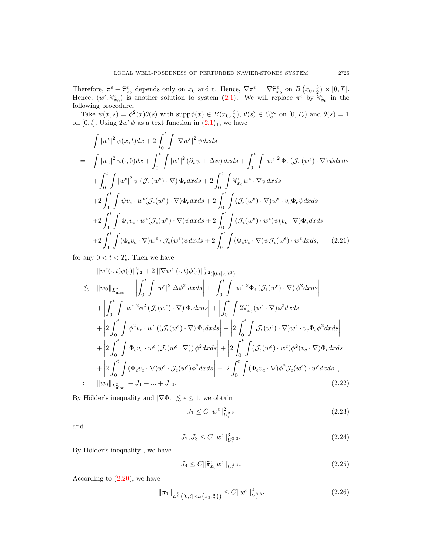Therefore,  $\pi^{\epsilon} - \hat{\pi}_{x_0}^{\epsilon}$  depends only on  $x_0$  and t. Hence,  $\nabla \pi^{\epsilon} = \nabla \hat{\pi}_{x_0}^{\epsilon}$  on  $B(x_0, \frac{3}{2}) \times [0, T]$ .<br>Hence,  $(x_0^{\epsilon}, \hat{x}^{\epsilon})$  is a pother solution to system (2.1). We will replace  $\pi^{\epsilon}$  by  $\hat{x$ Hence,  $(w^{\epsilon}, \hat{\pi}_{x_0}^{\epsilon})$  is another solution to system [\(2.1\)](#page-3-2). We will replace  $\pi^{\epsilon}$  by  $\tilde{\pi}_{x_0}^{\epsilon}$  in the following procedure following procedure.

Take  $\psi(x,s) = \phi^2(x)\theta(s)$  with supp $\phi(x) \in B(x_0, \frac{3}{2}), \theta(s) \in C_c^{\infty}$  on  $[0,T_{\epsilon})$  and  $\theta(s) = 1$ on [0, t]. Using  $2w^{\epsilon}\psi$  as a text function in  $(2.1)_1$  $(2.1)_1$  $(2.1)_1$ , we have

$$
\int |w^{\epsilon}|^{2} \psi(x,t) dx + 2 \int_{0}^{t} \int |\nabla w^{\epsilon}|^{2} \psi dx ds
$$
\n
$$
= \int |w_{0}|^{2} \psi(\cdot,0) dx + \int_{0}^{t} \int |w^{\epsilon}|^{2} (\partial_{s} \psi + \Delta \psi) dx ds + \int_{0}^{t} \int |w^{\epsilon}|^{2} \Phi_{\epsilon} (\mathcal{J}_{\epsilon}(w^{\epsilon}) \cdot \nabla) \psi dx ds
$$
\n
$$
+ \int_{0}^{t} \int |w^{\epsilon}|^{2} \psi (\mathcal{J}_{\epsilon}(w^{\epsilon}) \cdot \nabla) \Phi_{\epsilon} dx ds + 2 \int_{0}^{t} \int \widehat{\pi}_{x_{0}}^{\epsilon} w^{\epsilon} \cdot \nabla \psi dx ds
$$
\n
$$
+ 2 \int_{0}^{t} \int \psi v_{c} \cdot w^{\epsilon} (\mathcal{J}_{\epsilon}(w^{\epsilon}) \cdot \nabla) \Phi_{\epsilon} dx ds + 2 \int_{0}^{t} \int (\mathcal{J}_{\epsilon}(w^{\epsilon}) \cdot \nabla) w^{\epsilon} \cdot v_{c} \Phi_{\epsilon} \psi dx ds
$$
\n
$$
+ 2 \int_{0}^{t} \int \Phi_{\epsilon} v_{c} \cdot w^{\epsilon} (\mathcal{J}_{\epsilon}(w^{\epsilon}) \cdot \nabla) \psi dx ds + 2 \int_{0}^{t} \int (\mathcal{J}_{\epsilon}(w^{\epsilon}) \cdot w^{\epsilon}) \psi (v_{c} \cdot \nabla) \Phi_{\epsilon} dx ds
$$
\n
$$
+ 2 \int_{0}^{t} \int (\Phi_{\epsilon} v_{c} \cdot \nabla) w^{\epsilon} \cdot \mathcal{J}_{\epsilon}(w^{\epsilon}) \psi dx ds + 2 \int_{0}^{t} \int (\Phi_{\epsilon} v_{c} \cdot \nabla) \psi \mathcal{J}_{\epsilon}(w^{\epsilon}) \cdot w^{\epsilon} dx ds, \qquad (2.21)
$$

for any  $0 < t < T_{\epsilon}$ . Then we have

$$
\|w^{\epsilon}(\cdot,t)\phi(\cdot)\|_{L^{2}}^{2}+2\||\nabla w^{\epsilon}|(\cdot,t)\phi(\cdot)\|_{L^{2}([0,t]\times\mathbb{R}^{3})}^{2}
$$
\n
$$
\lesssim \|w_{0}\|_{L^{2}_{uloc}} + \left|\int_{0}^{t}\int |w^{\epsilon}|^{2}|\Delta\phi^{2}|dxds\right| + \left|\int_{0}^{t}\int |w^{\epsilon}|^{2}\Phi_{\epsilon}\left(\mathcal{J}_{\epsilon}(w^{\epsilon})\cdot\nabla\right)\phi^{2}dxds\right|
$$
\n
$$
+ \left|\int_{0}^{t}\int |w^{\epsilon}|^{2}\phi^{2}\left(\mathcal{J}_{\epsilon}(w^{\epsilon})\cdot\nabla\right)\Phi_{\epsilon}dxds\right| + \left|\int_{0}^{t}\int 2\hat{\pi}_{x_{0}}^{\epsilon}(w^{\epsilon}\cdot\nabla)\phi^{2}dxds\right|
$$
\n
$$
+ \left|\int_{0}^{t}\int \phi^{2}v_{c}\cdot w^{\epsilon}\left(\left(\mathcal{J}_{\epsilon}(w^{\epsilon})\cdot\nabla\right)\Phi_{\epsilon}dxds\right| + \left|\int_{0}^{t}\int \mathcal{J}_{\epsilon}(w^{\epsilon})\cdot\nabla\right)w^{\epsilon}\cdot v_{c}\Phi_{\epsilon}\phi^{2}dxds\right|
$$
\n
$$
+ \left|\int_{0}^{t}\int \Phi_{\epsilon}v_{c}\cdot w^{\epsilon}\left(\mathcal{J}_{\epsilon}(w^{\epsilon}\cdot\nabla)\right)\phi^{2}dxds\right| + \left|\int_{0}^{t}\int \left(\mathcal{J}_{\epsilon}(w^{\epsilon})\cdot w^{\epsilon}\right)\phi^{2}(v_{c}\cdot\nabla)\Phi_{\epsilon}dxds\right|
$$
\n
$$
+ \left|\int_{0}^{t}\int (\Phi_{\epsilon}v_{c}\cdot\nabla)w^{\epsilon}\cdot\mathcal{J}_{\epsilon}(w^{\epsilon})\phi^{2}dxds\right| + \left|\int_{0}^{t}\int (\Phi_{\epsilon}v_{c}\cdot\nabla)\phi^{2}\mathcal{J}_{\epsilon}(w^{\epsilon})\cdot w^{\epsilon}dxds\right|,
$$
\n
$$
:= \|w_{0}\|_{L^{2}_{uloc}} + J_{1} + ... + J_{10}.
$$
\n(2.22)

By Hölder's inequality and  $|\nabla \Phi_\epsilon| \lesssim \epsilon \leq 1,$  we obtain

$$
J_1 \le C \|w^{\epsilon}\|_{U_t^{2,2}}^2 \tag{2.23}
$$

and

$$
J_2, J_3 \le C \|w^{\epsilon}\|_{U_t^{3,3}}^3. \tag{2.24}
$$

By Hölder's inequality, we have

<span id="page-6-0"></span>
$$
J_4 \le C \|\hat{\pi}_{x_0}^{\epsilon} w^{\epsilon}\|_{U_t^{1,1}}.
$$
\n(2.25)

According to  $(2.20)$ , we have

$$
\|\pi_1\|_{L^{\frac{3}{2}}([0,t]\times B\left(x_0,\frac{3}{2}\right))} \le C \|w^{\epsilon}\|_{U_t^{3,3}}^2. \tag{2.26}
$$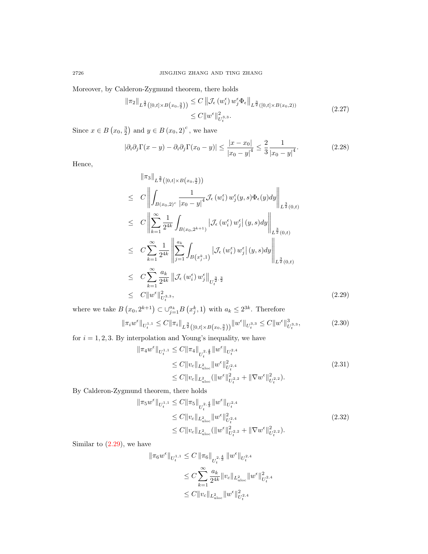Moreover, by Calderon-Zygmund theorem, there holds

$$
\|\pi_2\|_{L^{\frac{3}{2}}([0,t]\times B(x_0,\frac{3}{2}))} \leq C \|\mathcal{J}_{\epsilon}(w_i^{\epsilon}) w_j^{\epsilon} \Phi_{\epsilon}\|_{L^{\frac{3}{2}}([0,t]\times B(x_0,2))}
$$
  
\n
$$
\leq C \|w^{\epsilon}\|_{U_t^{3,3}}^2.
$$
\n(2.27)

Since  $x \in B(x_0, \frac{3}{2})$  and  $y \in B(x_0, 2)^c$ , we have

$$
|\partial_i \partial_j \Gamma(x - y) - \partial_i \partial_j \Gamma(x_0 - y)| \le \frac{|x - x_0|}{|x_0 - y|^4} \le \frac{2}{3} \frac{1}{|x_0 - y|^4}.
$$
 (2.28)

Hence,

<span id="page-7-0"></span>
$$
\|\pi_{3}\|_{L^{\frac{3}{2}}([0,t]\times B(x_{0},\frac{3}{2}))}\n\leq C \left\| \int_{B(x_{0},2)^{c}} \frac{1}{|x_{0}-y|^{4}} \mathcal{J}_{\epsilon}(w_{i}^{\epsilon}) w_{j}^{\epsilon}(y,s) \Phi_{\epsilon}(y) dy \right\|_{L^{\frac{3}{2}}(0,t)}\n\leq C \left\| \sum_{k=1}^{\infty} \frac{1}{2^{4k}} \int_{B(x_{0},2^{k+1})} \left| \mathcal{J}_{\epsilon}(w_{i}^{\epsilon}) w_{j}^{\epsilon} |(y,s) dy \right\|_{L^{\frac{3}{2}}(0,t)}\n\leq C \sum_{k=1}^{\infty} \frac{1}{2^{4k}} \left\| \sum_{j=1}^{a_{k}} \int_{B(x_{j}^{k},1)} \left| \mathcal{J}_{\epsilon}(w_{i}^{\epsilon}) w_{j}^{\epsilon} |(y,s) dy \right\|_{L^{\frac{3}{2}}(0,t)}\n\leq C \sum_{k=1}^{\infty} \frac{a_{k}}{2^{4k}} \left\| \mathcal{J}_{\epsilon}(w_{i}^{\epsilon}) w_{j}^{\epsilon} \right\|_{U_{\epsilon}^{\frac{3}{2},\frac{3}{2}}}\n\leq C \|\omega^{\epsilon}\|_{U_{\epsilon}^{3,3}}^{2,3},
$$
\n(2.29)

where we take  $B(x_0, 2^{k+1}) \subset \bigcup_{j=1}^{a_k} B(x_j^k, 1)$  with  $a_k \leq 2^{3k}$ . Therefore

<span id="page-7-1"></span>
$$
\|\pi_i w^{\epsilon}\|_{U_t^{1,1}} \le C \|\pi_i\|_{L^{\frac{3}{2}}\left([0,t] \times B\left(x_0, \frac{3}{2}\right)\right)} \|w^{\epsilon}\|_{U_t^{3,3}} \le C \|w^{\epsilon}\|_{U_t^{3,3}},\tag{2.30}
$$

for  $i = 1, 2, 3$ . By interpolation and Young's inequality, we have

<span id="page-7-2"></span>
$$
\|\pi_4 w^{\epsilon}\|_{U_t^{1,1}} \leq C \|\pi_4\|_{U_t^{2,\frac{4}{3}}}\|w^{\epsilon}\|_{U_t^{2,4}} \leq C \|v_c\|_{L^2_{uloc}} \|w^{\epsilon}\|_{U_t^{2,4}}^2 \leq C \|v_c\|_{L^2_{uloc}} (\|w^{\epsilon}\|_{U_t^{2,2}}^2 + \|\nabla w^{\epsilon}\|_{U_t^{2,2}}^2).
$$
\n(2.31)

By Calderon-Zygmund theorem, there holds  $\parallel$ 

$$
\pi_5 w^{\epsilon} \|_{U_t^{1,1}} \leq C \|\pi_5\|_{U_t^{2,\frac{4}{3}}} \|w^{\epsilon}\|_{U_t^{2,4}} \n\leq C \|v_c\|_{L^2_{uloc}} \|w^{\epsilon}\|_{U_t^{2,4}}^2 \n\leq C \|v_c\|_{L^2_{uloc}} (\|w^{\epsilon}\|_{U_t^{2,2}}^2 + \|\nabla w^{\epsilon}\|_{U_t^{2,2}}^2).
$$
\n(2.32)

Similar to  $(2.29)$ , we have

$$
\begin{aligned}\|\pi_6 w^\epsilon\|_{U_t^{1,1}} &\leq C\,\|\pi_6\|_{U_t^{2,\frac{4}{3}}}\,\|w^\epsilon\|_{U_t^{2,4}}\\&\leq C\sum_{k=1}^\infty\frac{a_k}{2^{4k}}\|v_c\|_{L^2_{\text{\rm uloc}}} \|w^\epsilon\|_{U_t^{2,4}}^2\\&\leq C\|v_c\|_{L^2_{\text{\rm uloc}}}\|w^\epsilon\|_{U_t^{2,4}}^2\end{aligned}
$$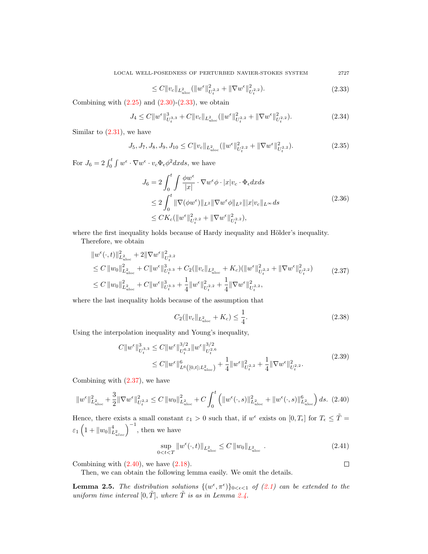<span id="page-8-1"></span>
$$
\leq C \|v_c\|_{L^2_{uloc}} (\|w^{\epsilon}\|_{U_t^2}^2 + \|\nabla w^{\epsilon}\|_{U_t^2}^2).
$$
\n(2.33)

Combining with  $(2.25)$  and  $(2.30)-(2.33)$  $(2.30)-(2.33)$ , we obtain

$$
J_4 \leq C \|w^{\epsilon}\|_{U_t^{3,3}}^3 + C \|v_c\|_{L^2_{uloc}} (\|w^{\epsilon}\|_{U_t^{2,2}}^2 + \|\nabla w^{\epsilon}\|_{U_t^{2,2}}^2). \tag{2.34}
$$

Similar to  $(2.31)$ , we have

$$
J_5, J_7, J_8, J_9, J_{10} \le C \|v_c\|_{L^2_{uloc}} (\|w^{\epsilon}\|_{U_t^{2,2}}^2 + \|\nabla w^{\epsilon}\|_{U_t^{2,2}}^2). \tag{2.35}
$$

For  $J_6 = 2 \int_0^t \int w^{\epsilon} \cdot \nabla w^{\epsilon} \cdot v_c \Phi_{\epsilon} \phi^2 dx ds$ , we have

$$
J_6 = 2 \int_0^t \int \frac{\phi w^{\epsilon}}{|x|} \cdot \nabla w^{\epsilon} \phi \cdot |x| v_c \cdot \Phi_{\epsilon} dx ds
$$
  
\n
$$
\leq 2 \int_0^t \|\nabla(\phi w^{\epsilon})\|_{L^2} \|\nabla w^{\epsilon} \phi\|_{L^2} \| |x| v_c \|_{L^{\infty}} ds
$$
  
\n
$$
\leq CK_c (\|w^{\epsilon}\|_{U_t^{2,2}}^2 + \|\nabla w^{\epsilon}\|_{U_t^{2,2}}^2),
$$
\n(2.36)

where the first inequality holds because of Hardy inequality and Hölder's inequality.

Therefore, we obtain

<span id="page-8-2"></span>
$$
\|w^{\epsilon}(\cdot,t)\|_{L^{2}_{uloc}}^{2} + 2\|\nabla w^{\epsilon}\|_{U_{t}^{2,2}}^{2}
$$
\n
$$
\leq C\|w_{0}\|_{L^{2}_{uloc}}^{2} + C\|w^{\epsilon}\|_{U_{t}^{3,3}}^{3} + C_{2}(\|v_{c}\|_{L^{2}_{uloc}} + K_{c})(\|w^{\epsilon}\|_{U_{t}^{2,2}}^{2} + \|\nabla w^{\epsilon}\|_{U_{t}^{2,2}}^{2})
$$
\n
$$
\leq C\|w_{0}\|_{L^{2}_{uloc}}^{2} + C\|w^{\epsilon}\|_{U_{t}^{3,3}}^{3} + \frac{1}{4}\|w^{\epsilon}\|_{U_{t}^{2,2}}^{2} + \frac{1}{4}\|\nabla w^{\epsilon}\|_{U_{t}^{2,2}}^{2},
$$
\n
$$
(2.37)
$$

where the last inequality holds because of the assumption that

<span id="page-8-0"></span>
$$
C_2(||v_c||_{L^2_{uloc}} + K_c) \le \frac{1}{4}.\tag{2.38}
$$

Using the interpolation inequality and Young's inequality,

$$
C \|w^{\epsilon}\|_{U_t^{3,3}}^3 \leq C \|w^{\epsilon}\|_{U_t^{6,2}}^{3/2} \|w^{\epsilon}\|_{U_t^{2,6}}^{3/2}
$$
  
\n
$$
\leq C \|w^{\epsilon}\|_{L^6([0,t];L^2_{\text{uloc}})}^6 + \frac{1}{4} \|w^{\epsilon}\|_{U_t^{2,2}}^2 + \frac{1}{4} \|\nabla w^{\epsilon}\|_{U_t^{2,2}}^2. \tag{2.39}
$$

Combining with [\(2.37\)](#page-8-2), we have

<span id="page-8-3"></span>
$$
\|w^{\epsilon}\|_{L^{2}_{uloc}}^{2} + \frac{3}{2} \|\nabla w^{\epsilon}\|_{U_{t}^{2,2}}^{2} \leq C \left\|w_{0}\right\|_{L^{2}_{uloc}}^{2} + C \int_{0}^{t} \left(\|w^{\epsilon}(\cdot,s)\|_{L^{2}_{uloc}}^{2} + \|w^{\epsilon}(\cdot,s)\|_{L^{2}_{uloc}}^{6}\right) ds. (2.40)
$$

Hence, there exists a small constant  $\varepsilon_1 > 0$  such that, if  $w^{\epsilon}$  exists on  $[0, T_{\epsilon}]$  for  $T_{\epsilon} \leq \tilde{T} =$  $\varepsilon_1\left(1+\|w_0\|_{L^2_{uloc}}^4\right)^{-1}$ , then we have

$$
\sup_{0 < t < T} \left\| w^{\epsilon}(\cdot, t) \right\|_{L^{2}_{\text{uloc}}} \le C \left\| w_{0} \right\|_{L^{2}_{\text{uloc}}}.
$$
\n
$$
(2.41)
$$

 $\Box$ 

Combining with  $(2.40)$ , we have  $(2.18)$ .

Then, we can obtain the following lemma easily. We omit the details.

<span id="page-8-4"></span>**Lemma 2.5.** The distribution solutions  $\{(w^{\epsilon}, \pi^{\epsilon})\}_{0 \leq \epsilon \leq 1}$  of [\(2.1\)](#page-3-2) can be extended to the uniform time interval  $[0, \tilde{T}]$ , where  $\tilde{T}$  is as in Lemma [2.4.](#page-5-2)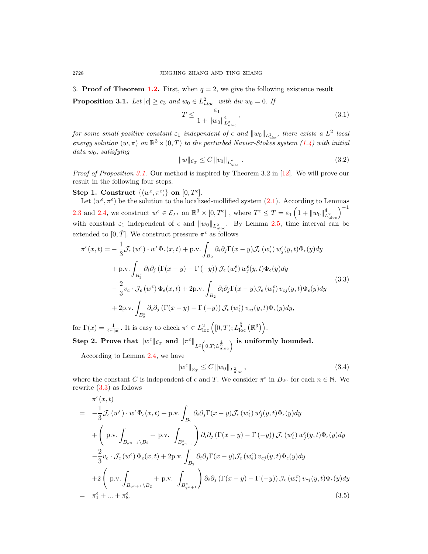<span id="page-9-0"></span>3. **Proof of Theorem [1.2.](#page-3-1)** First, when  $q = 2$ , we give the following existence result

<span id="page-9-1"></span>**Proposition 3.1.** Let  $|c| \ge c_3$  and  $w_0 \in L^2_{uloc}$  with div  $w_0 = 0$ . If

$$
T \le \frac{\varepsilon_1}{1 + \|w_0\|_{L^2_{uloc}}^4},\tag{3.1}
$$

for some small positive constant  $\varepsilon_1$  independent of  $\epsilon$  and  $\|w_0\|_{L^2_{uloc}}$ , there exists a  $L^2$  local energy solution  $(w, \pi)$  on  $\mathbb{R}^3 \times (0,T)$  to the perturbed Navier-Stokes system  $(1.4)$  with initial  $data w_0$ , satisfying

$$
||w||_{\mathcal{E}_T} \le C ||v_0||_{L^2_{uloc}}.
$$
\n
$$
(3.2)
$$

Proof of Proposition [3.1.](#page-9-1) Our method is inspired by Theorem 3.2 in [\[12\]](#page-20-8). We will prove our result in the following four steps.

Step 1. Construct  $\{(w^{\epsilon}, \pi^{\epsilon})\}$  on  $[0, T^{\epsilon}]$ .

Let  $(w^{\epsilon}, \pi^{\epsilon})$  be the solution to the localized-mollified system [\(2.1\)](#page-3-2). According to Lemmas [2.3](#page-4-2) and [2.4,](#page-5-2) we construct  $w^{\epsilon} \in \mathcal{E}_{T^{\epsilon}}$  on  $\mathbb{R}^{3} \times [0, T^{\epsilon}]$  , where  $T^{\epsilon} \leq T = \varepsilon_{1} \left(1 + ||w_{0}||_{L^{2}_{uloc}}^{4}\right)^{-1}$ with constant  $\varepsilon_1$  independent of  $\epsilon$  and  $||w_0||_{L^2_{uloc}}$ . By Lemma [2.5,](#page-8-4) time interval can be extended to  $[0, \tilde{T}]$ . We construct pressure  $\pi^{\epsilon}$  as follows

<span id="page-9-2"></span>
$$
\pi^{\epsilon}(x,t) = -\frac{1}{3} \mathcal{J}_{\epsilon}(w^{\epsilon}) \cdot w^{\epsilon} \Phi_{\epsilon}(x,t) + \text{p.v.} \int_{B_2} \partial_i \partial_j \Gamma(x-y) \mathcal{J}_{\epsilon}(w_i^{\epsilon}) w_j^{\epsilon}(y,t) \Phi_{\epsilon}(y) dy \n+ \text{p.v.} \int_{B_2^c} \partial_i \partial_j \left( \Gamma(x-y) - \Gamma(-y) \right) \mathcal{J}_{\epsilon}(w_i^{\epsilon}) w_j^{\epsilon}(y,t) \Phi_{\epsilon}(y) dy \n- \frac{2}{3} v_c \cdot \mathcal{J}_{\epsilon}(w^{\epsilon}) \Phi_{\epsilon}(x,t) + 2 \text{p.v.} \int_{B_2} \partial_i \partial_j \Gamma(x-y) \mathcal{J}_{\epsilon}(w_i^{\epsilon}) v_{cj}(y,t) \Phi_{\epsilon}(y) dy \n+ 2 \text{p.v.} \int_{B_2^c} \partial_i \partial_j \left( \Gamma(x-y) - \Gamma(-y) \right) \mathcal{J}_{\epsilon}(w_i^{\epsilon}) v_{cj}(y,t) \Phi_{\epsilon}(y) dy,
$$
\n(3.3)

for  $\Gamma(x) = \frac{1}{4\pi|x|}$ . It is easy to check  $\pi^{\epsilon} \in L_{\text{loc}}^2([0,T); L_{\text{loc}}^{\frac{4}{3}}(\mathbb{R}^3)).$ 

 $\textbf{Step 2. Prove that } \Vert w^{\epsilon} \Vert_{\mathcal{E}_{T}} \text{ and } \Vert \pi^{\epsilon} \Vert_{L^{2}\left(0,T;L^{\frac{4}{3}}_{\text{uloc}}\right)} \text{ is uniformly bounded.}$ 

According to Lemma 2.4, we have\n
$$
\frac{1}{2} \int_{-\infty}^{\infty} f(x) \, dx
$$

$$
||w^{\epsilon}||_{\mathcal{E}_T} \le C ||w_0||_{L^2_{uloc}}, \tag{3.4}
$$

where the constant C is independent of  $\epsilon$  and T. We consider  $\pi^{\epsilon}$  in  $B_{2^n}$  for each  $n \in \mathbb{N}$ . We rewrite [\(3.3\)](#page-9-2) as follows

$$
\pi^{\epsilon}(x,t) = -\frac{1}{3}\mathcal{J}_{\epsilon}(w^{\epsilon}) \cdot w^{\epsilon} \Phi_{\epsilon}(x,t) + \text{p.v.} \int_{B_2} \partial_i \partial_j \Gamma(x-y) \mathcal{J}_{\epsilon}(w_i^{\epsilon}) w_j^{\epsilon}(y,t) \Phi_{\epsilon}(y) dy \n+ \left( \text{p.v.} \int_{B_{2n+1} \setminus B_2} + \text{p.v.} \int_{B_{2n+1}^c} \partial_i \partial_j (\Gamma(x-y) - \Gamma(-y)) \mathcal{J}_{\epsilon}(w_i^{\epsilon}) w_j^{\epsilon}(y,t) \Phi_{\epsilon}(y) dy \n- \frac{2}{3} v_c \cdot \mathcal{J}_{\epsilon}(w^{\epsilon}) \Phi_{\epsilon}(x,t) + 2 \text{p.v.} \int_{B_2} \partial_i \partial_j \Gamma(x-y) \mathcal{J}_{\epsilon}(w_i^{\epsilon}) v_{cj}(y,t) \Phi_{\epsilon}(y) dy \n+ 2 \left( \text{p.v.} \int_{B_{2n+1} \setminus B_2} + \text{p.v.} \int_{B_{2n+1}^c} \partial_i \partial_j (\Gamma(x-y) - \Gamma(-y)) \mathcal{J}_{\epsilon}(w_i^{\epsilon}) v_{cj}(y,t) \Phi_{\epsilon}(y) dy \right) \n= \pi_1^{\epsilon} + ... + \pi_8^{\epsilon}.
$$
\n(3.5)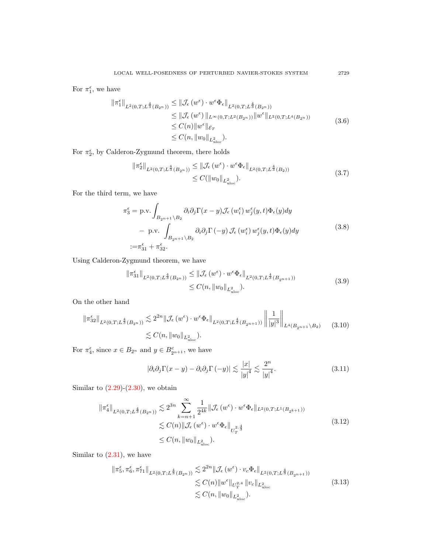For  $\pi_1^{\epsilon}$ , we have

$$
\|\pi_1^{\epsilon}\|_{L^2(0,T;L^{\frac{4}{3}}(B_{2^n}))} \leq \|\mathcal{J}_{\epsilon}(w^{\epsilon}) \cdot w^{\epsilon} \Phi_{\epsilon}\|_{L^2(0,T;L^{\frac{4}{3}}(B_{2^n}))}
$$
  
\n
$$
\leq \|\mathcal{J}_{\epsilon}(w^{\epsilon})\|_{L^{\infty}(0,T;L^2(B_{2^n}))}\|w^{\epsilon}\|_{L^2(0,T;L^4(B_{2^n}))}
$$
  
\n
$$
\leq C(n) \|w^{\epsilon}\|_{\mathcal{E}_T}
$$
  
\n
$$
\leq C(n, \|w_0\|_{L^2_{uloc}}).
$$
\n(3.6)

For  $\pi_2^{\epsilon}$ , by Calderon-Zygmund theorem, there holds

$$
\begin{split} \left\| \pi_2^{\epsilon} \right\|_{L^2(0,T;L^{\frac{4}{3}}(B_{2^n}))} &\leq \left\| \mathcal{J}_{\epsilon} \left( w^{\epsilon} \right) \cdot w^{\epsilon} \Phi_{\epsilon} \right\|_{L^2(0,T;L^{\frac{4}{3}}(B_2))} \\ &\leq C(\left\| w_0 \right\|_{L^2_{\text{uloc}}}). \end{split} \tag{3.7}
$$

For the third term, we have

$$
\pi_3^{\epsilon} = \text{p.v.} \int_{B_{2^{n+1}} \backslash B_2} \partial_i \partial_j \Gamma(x - y) \mathcal{J}_{\epsilon}(w_i^{\epsilon}) w_j^{\epsilon}(y, t) \Phi_{\epsilon}(y) dy \n- \text{p.v.} \int_{B_{2^{n+1}} \backslash B_2} \partial_i \partial_j \Gamma(-y) \mathcal{J}_{\epsilon}(w_i^{\epsilon}) w_j^{\epsilon}(y, t) \Phi_{\epsilon}(y) dy \n:= \pi_{31}^{\epsilon} + \pi_{32}^{\epsilon}.
$$
\n(3.8)

Using Calderon-Zygmund theorem, we have

$$
\|\pi_{31}^{\epsilon}\|_{L^{2}(0,T;L^{\frac{4}{3}}(B_{2^{n}}))} \leq \|\mathcal{J}_{\epsilon}(w^{\epsilon}) \cdot w^{\epsilon} \Phi_{\epsilon}\|_{L^{2}(0,T;L^{\frac{4}{3}}(B_{2^{n+1}}))}
$$
  
\$\leq C(n, \|w\_{0}\|\_{L^{2}\_{uloc}}).\$ (3.9)

On the other hand

<span id="page-10-0"></span>
$$
\|\pi_{32}^{\epsilon}\|_{L^{2}(0,T;L^{\frac{4}{3}}(B_{2^n}))} \lesssim 2^{2n} \|\mathcal{J}_{\epsilon}(w^{\epsilon}) \cdot w^{\epsilon} \Phi_{\epsilon}\|_{L^{2}(0,T;L^{\frac{4}{3}}(B_{2^{n+1}}))} \left\|\frac{1}{|y|^{3}}\right\|_{L^{4}(B_{2^{n+1}} \setminus B_2)}
$$
(3.10)  

$$
\lesssim C(n, \|w_0\|_{L^{2}_{uloc}}).
$$

For  $\pi_4^{\epsilon}$ , since  $x \in B_{2^n}$  and  $y \in B_{2^{n+1}}^{\epsilon}$ , we have

$$
|\partial_i \partial_j \Gamma(x - y) - \partial_i \partial_j \Gamma(-y)| \lesssim \frac{|x|}{|y|^4} \lesssim \frac{2^n}{|y|^4}.
$$
 (3.11)

Similar to  $(2.29)-(2.30)$  $(2.29)-(2.30)$ , we obtain

$$
\begin{split} \left\| \pi_{4}^{\epsilon} \right\|_{L^{2}(0,T;L^{\frac{4}{3}}(B_{2^{n}}))} &\lesssim 2^{3n} \sum_{k=n+1}^{\infty} \frac{1}{2^{4k}} \left\| \mathcal{J}_{\epsilon}\left(w^{\epsilon}\right) \cdot w^{\epsilon} \Phi_{\epsilon} \right\|_{L^{2}(0,T;L^{1}(B_{2^{k+1}}))} \\ &\lesssim C(n) \left\| \mathcal{J}_{\epsilon}\left(w^{\epsilon}\right) \cdot w^{\epsilon} \Phi_{\epsilon} \right\|_{U_{T}^{2,\frac{4}{3}}} \\ &\leq C(n, \left\| w_{0} \right\|_{L^{2}_{\text{uloc}}}). \end{split} \tag{3.12}
$$

Similar to  $(2.31)$ , we have

$$
\|\pi_5^{\epsilon}, \pi_6^{\epsilon}, \pi_{71}^{\epsilon}\|_{L^2(0,T;L^{\frac{4}{3}}(B_{2^n}))} \lesssim 2^{2n} \|\mathcal{J}_{\epsilon}(w^{\epsilon}) \cdot v_c \Phi_{\epsilon}\|_{L^2(0,T;L^{\frac{4}{3}}(B_{2^{n+1}}))}
$$
  

$$
\lesssim C(n) \|w^{\epsilon}\|_{U_{T}^{2,4}} \|v_c\|_{L^2_{uloc}}
$$
  

$$
\lesssim C(n) \|w_0\|_{L^2_{uloc}}).
$$
 (3.13)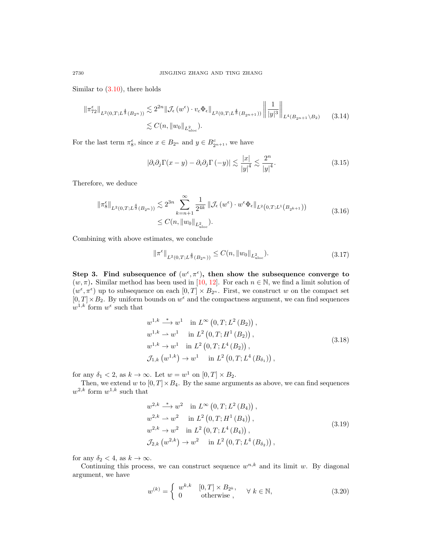Similar to [\(3.10\)](#page-10-0), there holds

$$
\|\pi_{72}^{\epsilon}\|_{L^{2}(0,T;L^{\frac{4}{3}}(B_{2^{n}}))} \lesssim 2^{2n} \|\mathcal{J}_{\epsilon}(w^{\epsilon}) \cdot v_{c} \Phi_{\epsilon}\|_{L^{2}(0,T;L^{\frac{4}{3}}(B_{2^{n+1}}))} \left\|\frac{1}{|y|^{3}}\right\|_{L^{4}(B_{2^{n+1}} \setminus B_{2})}
$$
(3.14)  

$$
\lesssim C(n, \|w_{0}\|_{L^{2}_{uloc}}).
$$

For the last term  $\pi_{8}^{\epsilon}$ , since  $x \in B_{2^{n}}$  and  $y \in B_{2^{n+1}}^{\epsilon}$ , we have

$$
|\partial_i \partial_j \Gamma(x - y) - \partial_i \partial_j \Gamma(-y)| \lesssim \frac{|x|}{|y|^4} \lesssim \frac{2^n}{|y|^4}.
$$
 (3.15)

Therefore, we deduce

$$
\|\pi_{8}^{\epsilon}\|_{L^{2}(0,T;L^{\frac{4}{3}}(B_{2^{n}}))} \lesssim 2^{3n} \sum_{k=n+1}^{\infty} \frac{1}{2^{4k}} \|\mathcal{J}_{\epsilon}(w^{\epsilon}) \cdot w^{\epsilon} \Phi_{\epsilon}\|_{L^{2}(0,T;L^{1}\left(B_{2^{k+1}}\right))}
$$
\n
$$
\leq C(n, \|w_{0}\|_{L^{2}_{\text{uloc}}}). \tag{3.16}
$$

Combining with above estimates, we conclude

$$
\|\pi^{\epsilon}\|_{L^{2}(0,T;L^{\frac{4}{3}}(B_{2^n}))} \leq C(n, \|w_0\|_{L^{2}_{uloc}}). \tag{3.17}
$$

Step 3. Find subsequence of  $(w^{\epsilon}, \pi^{\epsilon})$ , then show the subsequence converge to  $(w, \pi)$ . Similar method has been used in [\[10,](#page-20-7) [12\]](#page-20-8). For each  $n \in \mathbb{N}$ , we find a limit solution of  $(w^{\epsilon}, \pi^{\epsilon})$  up to subsequence on each  $[0, T] \times B_{2^n}$ . First, we construct w on the compact set  $[0, T] \times B_2$ . By uniform bounds on  $w^{\epsilon}$  and the compactness argument, we can find sequences  $w^{1,k}$  form  $w^{\epsilon}$  such that

$$
w^{1,k} \stackrel{*}{\longrightarrow} w^1 \quad \text{in } L^{\infty}(0,T;L^2(B_2)),
$$
  
\n
$$
w^{1,k} \to w^1 \quad \text{in } L^2(0,T;H^1(B_2)),
$$
  
\n
$$
w^{1,k} \to w^1 \quad \text{in } L^2(0,T;L^4(B_2)),
$$
  
\n
$$
\mathcal{J}_{1,k}(w^{1,k}) \to w^1 \quad \text{in } L^2(0,T;L^4(B_{\delta_1})),
$$
\n(3.18)

for any  $\delta_1 < 2$ , as  $k \to \infty$ . Let  $w = w^1$  on  $[0, T] \times B_2$ .

Then, we extend w to  $[0, T] \times B_4$ . By the same arguments as above, we can find sequences  $w^{2,k}$  form  $w^{1,k}$  such that

$$
w^{2,k} \stackrel{*}{\longrightarrow} w^2 \text{ in } L^{\infty}(0, T; L^2(B_4)),
$$
  
\n
$$
w^{2,k} \to w^2 \text{ in } L^2(0, T; H^1(B_4)),
$$
  
\n
$$
w^{2,k} \to w^2 \text{ in } L^2(0, T; L^4(B_4)),
$$
  
\n
$$
\mathcal{J}_{2,k}(w^{2,k}) \to w^2 \text{ in } L^2(0, T; L^4(B_{\delta_2})),
$$
\n(3.19)

for any  $\delta_2 < 4$ , as  $k \to \infty$ .

Continuing this process, we can construct sequence  $w^{n,k}$  and its limit w. By diagonal argument, we have

$$
w^{(k)} = \begin{cases} w^{k,k} & [0,T] \times B_{2^k}, \\ 0 & \text{otherwise} \end{cases} \quad \forall \ k \in \mathbb{N}, \tag{3.20}
$$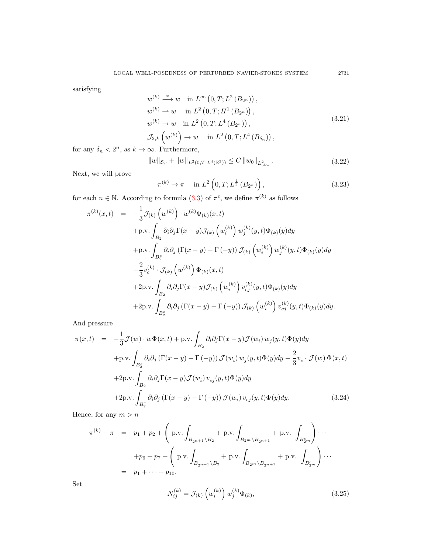satisfying

<span id="page-12-0"></span>
$$
w^{(k)} \stackrel{*}{\longrightarrow} w \quad \text{in } L^{\infty}(0, T; L^{2}(B_{2^{n}})),
$$
  
\n
$$
w^{(k)} \to w \quad \text{in } L^{2}(0, T; H^{1}(B_{2^{n}})),
$$
  
\n
$$
w^{(k)} \to w \quad \text{in } L^{2}(0, T; L^{4}(B_{2^{n}})),
$$
  
\n
$$
\mathcal{J}_{2,k}(w^{(k)}) \to w \quad \text{in } L^{2}(0, T; L^{4}(B_{\delta_{n}})),
$$
\n(3.21)

for any  $\delta_n < 2^n$ , as  $k \to \infty$ . Furthermore,

$$
||w||_{\mathcal{E}_T} + ||w||_{L^2(0,T;L^4(\mathbb{R}^3))} \le C ||w_0||_{L^2_{uloc}}.
$$
\n(3.22)

Next, we will prove

<span id="page-12-1"></span>
$$
\pi^{(k)} \to \pi \quad \text{in } L^2\left(0, T; L^{\frac{4}{3}}\left(B_{2^n}\right)\right),\tag{3.23}
$$

for each  $n \in \mathbb{N}$ . According to formula [\(3.3\)](#page-9-2) of  $\pi^{\epsilon}$ , we define  $\pi^{(k)}$  as follows 1

$$
\pi^{(k)}(x,t) = -\frac{1}{3}\mathcal{J}_{(k)}(w^{(k)}) \cdot w^{(k)}\Phi_{(k)}(x,t) \n+p.v. \int_{B_2} \partial_i \partial_j \Gamma(x-y) \mathcal{J}_{(k)}(w_i^{(k)}) w_j^{(k)}(y,t) \Phi_{(k)}(y) dy \n+p.v. \int_{B_2^c} \partial_i \partial_j (\Gamma(x-y) - \Gamma(-y)) \mathcal{J}_{(k)}(w_i^{(k)}) w_j^{(k)}(y,t) \Phi_{(k)}(y) dy \n- \frac{2}{3} v_c^{(k)} \cdot \mathcal{J}_{(k)}(w^{(k)}) \Phi_{(k)}(x,t) \n+2p.v. \int_{B_2} \partial_i \partial_j \Gamma(x-y) \mathcal{J}_{(k)}(w_i^{(k)}) v_{cj}^{(k)}(y,t) \Phi_{(k)}(y) dy \n+2p.v. \int_{B_2^c} \partial_i \partial_j (\Gamma(x-y) - \Gamma(-y)) \mathcal{J}_{(k)}(w_i^{(k)}) v_{cj}^{(k)}(y,t) \Phi_{(k)}(y) dy.
$$

And pressure

$$
\pi(x,t) = -\frac{1}{3}\mathcal{J}(w) \cdot w\Phi(x,t) + \text{p.v.} \int_{B_2} \partial_i \partial_j \Gamma(x-y) \mathcal{J}(w_i) w_j(y,t) \Phi(y) dy
$$
  
+
$$
\text{p.v.} \int_{B_2^c} \partial_i \partial_j \left( \Gamma(x-y) - \Gamma(-y) \right) \mathcal{J}(w_i) w_j(y,t) \Phi(y) dy - \frac{2}{3} v_c \cdot \mathcal{J}(w) \Phi(x,t)
$$
  
+
$$
2 \text{p.v.} \int_{B_2} \partial_i \partial_j \Gamma(x-y) \mathcal{J}(w_i) v_{cj}(y,t) \Phi(y) dy
$$
  
+
$$
2 \text{p.v.} \int_{B_2^c} \partial_i \partial_j \left( \Gamma(x-y) - \Gamma(-y) \right) \mathcal{J}(w_i) v_{cj}(y,t) \Phi(y) dy.
$$
(3.24)

Hence, for any  $m > n$ 

$$
\pi^{(k)} - \pi = p_1 + p_2 + \left( p.v. \int_{B_{2n+1} \setminus B_2} + p.v. \int_{B_{2m} \setminus B_{2n+1}} + p.v. \int_{B_{2m}^c} \right) \cdots
$$
  
+  $p_6 + p_7 + \left( p.v. \int_{B_{2n+1} \setminus B_2} + p.v. \int_{B_{2m} \setminus B_{2n+1}} + p.v. \int_{B_{2m}^c} \right) \cdots$   
=  $p_1 + \cdots + p_{10}.$ 

Set

$$
N_{ij}^{(k)} = \mathcal{J}_{(k)}\left(w_i^{(k)}\right)w_j^{(k)}\Phi_{(k)},\tag{3.25}
$$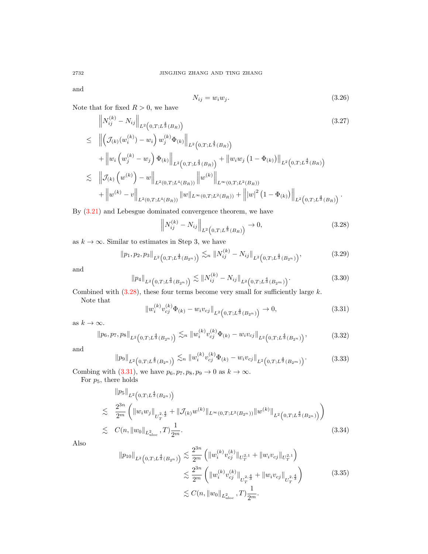and

$$
N_{ij} = w_i w_j. \tag{3.26}
$$

Note that for fixed  $R > 0$ , we have  $\sim 10^{-11}$ 

$$
\|N_{ij}^{(k)} - N_{ij}\|_{L^{2}(0,T;L^{\frac{4}{3}}(B_{R}))}
$$
\n
$$
\leq \left\| \left(\mathcal{J}_{(k)}(w_{i}^{(k)}) - w_{i}\right) w_{j}^{(k)} \Phi_{(k)} \right\|_{L^{2}(0,T;L^{\frac{4}{3}}(B_{R}))}
$$
\n
$$
+ \left\|w_{i}\left(w_{j}^{(k)} - w_{j}\right) \Phi_{(k)}\right\|_{L^{2}(0,T;L^{\frac{4}{3}}(B_{R}))} + \left\|w_{i}w_{j}\left(1 - \Phi_{(k)}\right)\right\|_{L^{2}(0,T;L^{\frac{4}{3}}(B_{R}))}
$$
\n
$$
\lesssim \left\| \mathcal{J}_{(k)}\left(w^{(k)}\right) - w \right\|_{L^{2}(0,T;L^{4}(B_{R}))} \left\|w^{(k)}\right\|_{L^{\infty}(0,T;L^{2}(B_{R}))}
$$
\n
$$
+ \left\|w^{(k)} - v\right\|_{L^{2}(0,T;L^{4}(B_{R}))} \left\|w\right\|_{L^{\infty}(0,T;L^{2}(B_{R}))} + \left\| |w|^{2}\left(1 - \Phi_{(k)}\right) \right\|_{L^{2}(0,T;L^{\frac{4}{3}}(B_{R}))}.
$$
\n(3.27)

By [\(3.21\)](#page-12-0) and Lebesgue dominated convergence theorem, we have

<span id="page-13-0"></span>
$$
\left\| N_{ij}^{(k)} - N_{ij} \right\|_{L^2\left(0, T; L^{\frac{4}{3}}(B_R)\right)} \to 0,
$$
\n(3.28)

as  $k \to \infty$ . Similar to estimates in Step 3, we have

$$
||p_1, p_2, p_3||_{L^2\left(0, T; L^{\frac{4}{3}}(B_{2^n})\right)} \lesssim_n ||N_{ij}^{(k)} - N_{ij}||_{L^2\left(0, T; L^{\frac{4}{3}}(B_{2^n})\right)},
$$
\n(3.29)

and

$$
\|p_4\|_{L^2\left(0,T;L^{\frac{4}{3}}(B_{2^n})\right)} \lesssim \|N_{ij}^{(k)} - N_{ij}\|_{L^2\left(0,T;L^{\frac{4}{3}}(B_{2^m})\right)}.\tag{3.30}
$$

Combined with  $(3.28)$ , these four terms become very small for sufficiently large k.

Note that

<span id="page-13-1"></span>
$$
||w_i^{(k)}v_{cj}^{(k)}\Phi_{(k)} - w_i v_{cj}||_{L^2\left(0,T;L^{\frac{4}{3}}(B_{2^n})\right)} \to 0,
$$
\n(3.31)

as  $k\to\infty.$ 

$$
\|p_6, p_7, p_8\|_{L^2\left(0, T; L^{\frac{4}{3}}(B_{2^n})\right)} \lesssim_n \|w_i^{(k)}v_{cj}^{(k)}\Phi_{(k)} - w_i v_{cj}\|_{L^2\left(0, T; L^{\frac{4}{3}}(B_{2^n})\right)},
$$
(3.32)

and

$$
\|p_9\|_{L^2\left(0,T;L^{\frac{4}{3}}(B_{2^n})\right)} \lesssim_n \|w_i^{(k)}v_{cj}^{(k)}\Phi_{(k)} - w_i v_{cj}\|_{L^2\left(0,T;L^{\frac{4}{3}}(B_{2^m})\right)}.
$$
(3.33)

Combing with [\(3.31\)](#page-13-1), we have  $p_6, p_7, p_8, p_9 \rightarrow 0$  as  $k \rightarrow \infty$ .

For  $p_5$ , there holds

$$
\|p_5\|_{L^2\left(0,T;L^{\frac{4}{3}}(B_{2^n})\right)}
$$
  
\n
$$
\lesssim \frac{2^{3n}}{2^m} \left( \|w_i w_j\|_{U_T^{2,\frac{4}{3}}} + \|\mathcal{J}_{(k)}w^{(k)}\|_{L^\infty(0,T;L^2(B_{2^n}))} \|w^{(k)}\|_{L^2\left(0,T;L^{\frac{4}{3}}(B_{2^n})\right)} \right)
$$
  
\n
$$
\lesssim C(n, \|w_0\|_{L^2_{uloc}}, T) \frac{1}{2^m}.
$$
\n(3.34)

Also

$$
\|p_{10}\|_{L^{2}\left(0,T;L^{\frac{4}{3}}(B_{2^{n}})\right)} \lesssim \frac{2^{3n}}{2^{m}} \left(\|w_{i}^{(k)}v_{cj}^{(k)}\|_{U_{T}^{2,1}} + \|w_{i}v_{cj}\|_{U_{T}^{2,1}}\right)
$$
  

$$
\lesssim \frac{2^{3n}}{2^{m}} \left(\|w_{i}^{(k)}v_{cj}^{(k)}\|_{U_{T}^{2,\frac{4}{3}}} + \|w_{i}v_{cj}\|_{U_{T}^{2,\frac{4}{3}}}\right)
$$
  

$$
\lesssim C(n, \|w_{0}\|_{L^{2}_{uloc}}, T)\frac{1}{2^{m}}.
$$
 (3.35)

$$
^{2732}
$$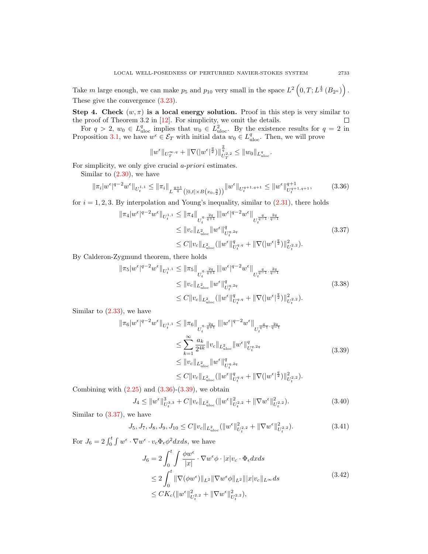Take m large enough, we can make  $p_5$  and  $p_{10}$  very small in the space  $L^2(0,T;L^{\frac{4}{3}}(B_{2^n}))$ . These give the convergence [\(3.23\)](#page-12-1).

Step 4. Check  $(w, \pi)$  is a local energy solution. Proof in this step is very similar to the proof of Theorem 3.2 in  $[12]$ . For simplicity, we omit the details.  $\Box$ 

For  $q > 2$ ,  $w_0 \in L^q_{uloc}$  implies that  $w_0 \in L^2_{uloc}$ . By the existence results for  $q = 2$  in Proposition [3.1,](#page-9-1) we have  $w^{\epsilon} \in \mathcal{E}_T$  with initial data  $w_0 \in L_{\text{uloc}}^q$ . Then, we will prove

$$
||w^{\epsilon}||_{U^{\infty,q}_T}+||\nabla (|w^{\epsilon}|^{\frac{q}{2}})||_{U^{\tau,2}_T}^{\frac{2}{q}}\leq ||w_0||_{L^q_{uloc}}.
$$

For simplicity, we only give crucial a-priori estimates.

Similar to  $(2.30)$ , we have

<span id="page-14-0"></span>
$$
\|\pi_i|w^{\epsilon}|^{q-2}w^{\epsilon}\|_{U_t^{1,1}} \le \|\pi_i\|_{L^{\frac{q+1}{q}}([0,t]\times B(x_0,\frac{3}{2}))} \|w^{\epsilon}\|_{U_t^{q+1,q+1}} \le \|w^{\epsilon}\|_{U_t^{q+1,q+1}}^{q+1},\tag{3.36}
$$

for  $i = 1, 2, 3$ . By interpolation and Young's inequality, similar to  $(2.31)$ , there holds

<span id="page-14-2"></span>
$$
\|\pi_4|w^{\epsilon}|^{q-2}w^{\epsilon}\|_{U_t^{1,1}} \le \|\pi_4\|_{U_t^{q,\frac{2q}{q+1}}}\|w^{\epsilon}|^{q-2}w^{\epsilon}\|_{U_t^{\frac{q}{q-1},\frac{2q}{q-1}}} \le \|v_c\|_{L^2_{uloc}}\|w^{\epsilon}\|_{U_t^{q,2q}}^q \le C\|v_c\|_{L^2_{uloc}}(\|w^{\epsilon}\|_{U_t^{q,q}}^q + \|\nabla(|w^{\epsilon}|^{\frac{q}{2}})\|_{U_t^{2,2}}^2).
$$
\n(3.37)

By Calderon-Zygmund theorem, there holds

$$
\|\pi_5|w^{\epsilon}|^{q-2}w^{\epsilon}\|_{U_t^{1,1}} \le \|\pi_5\|_{U_t^{q,\frac{2q}{q+1}}}\| |w^{\epsilon}|^{q-2}w^{\epsilon}\|_{U_t^{\frac{q}{q-1},\frac{2q}{q-1}}} \le \|v_c\|_{L^2_{uloc}}\|w^{\epsilon}\|_{U_t^{q,2q}}^q \le C\|v_c\|_{L^2_{uloc}}(\|w^{\epsilon}\|_{U_t^{q,q}}^q + \|\nabla(|w^{\epsilon}|^{\frac{q}{2}})\|_{U_t^{2,2}}^2).
$$
\n(3.38)

Similar to  $(2.33)$ , we have

<span id="page-14-1"></span>
$$
\|\pi_6|w^{\epsilon}|^{q-2}w^{\epsilon}\|_{U_t^{1,1}} \le \|\pi_6\|_{U_t^{q,\frac{2q}{q+1}}}\| |w^{\epsilon}|^{q-2}w^{\epsilon}\|_{U_t^{\frac{q}{q-1},\frac{2q}{q-1}}} \n\le \sum_{k=1}^{\infty} \frac{a_k}{2^{4k}}\|v_c\|_{L^2_{uloc}}\|w^{\epsilon}\|_{U_t^{q,2q}}^q \n\le \|v_c\|_{L^2_{uloc}}\|w^{\epsilon}\|_{U_t^{q,2q}}^q \n\le C\|v_c\|_{L^2_{uloc}}(\|w^{\epsilon}\|_{U_t^{q,q}}^q + \|\nabla(|w^{\epsilon}|^{\frac{q}{2}})\|_{U_t^{2,2}}^2).
$$
\n(3.39)

Combining with  $(2.25)$  and  $(3.36)-(3.39)$  $(3.36)-(3.39)$ , we obtain

$$
J_4 \le ||w^{\epsilon}||_{U_t^{3,3}}^3 + C||v_c||_{L^2_{uloc}}(||w^{\epsilon}||_{U_t^{2,2}}^2 + ||\nabla w^{\epsilon}||_{U_t^{2,2}}^2). \tag{3.40}
$$

Similar to [\(3.37\)](#page-14-2), we have

$$
J_5, J_7, J_8, J_9, J_{10} \le C \|v_c\|_{L^2_{uloc}} (\|w^{\epsilon}\|_{U_t^2,2}^2 + \|\nabla w^{\epsilon}\|_{U_t^2,2}^2). \tag{3.41}
$$

For  $J_6 = 2 \int_0^t \int w^{\epsilon} \cdot \nabla w^{\epsilon} \cdot v_c \Phi_{\epsilon} \phi^2 dx ds$ , we have

$$
J_6 = 2 \int_0^t \int \frac{\phi w^{\epsilon}}{|x|} \cdot \nabla w^{\epsilon} \phi \cdot |x| v_c \cdot \Phi_{\epsilon} dx ds
$$
  
\n
$$
\leq 2 \int_0^t \|\nabla(\phi w^{\epsilon})\|_{L^2} \|\nabla w^{\epsilon} \phi\|_{L^2} \| |x| v_c \|_{L^\infty} ds
$$
  
\n
$$
\leq CK_c (\|w^{\epsilon}\|_{U_t^{2,2}}^2 + \|\nabla w^{\epsilon}\|_{U_t^{2,2}}^2),
$$
\n(3.42)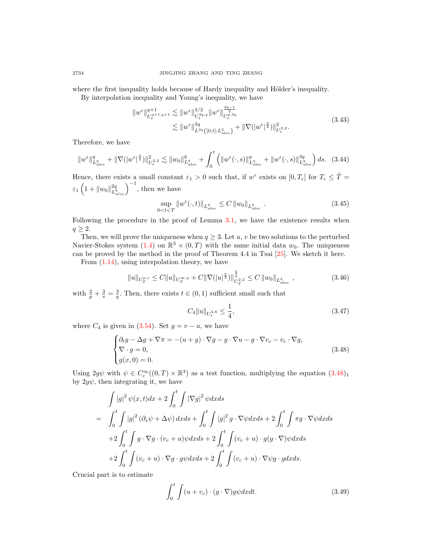where the first inequality holds because of Hardy inequality and Hölder's inequality.

By interpolation inequality and Young's inequality, we have

$$
||w^{\epsilon}||_{U_t^{q+1,q+1}}^{q+1} \lesssim ||w^{\epsilon}||_{U_t^{3q,q}}^{3/2} ||w^{\epsilon}||_{U_t^{q,3q}}^{2q-1}
$$
  

$$
\lesssim ||w^{\epsilon}||_{L^{3q}([0,t];L_{\text{uloc}}^2)}^{3q} + ||\nabla (|w^{\epsilon}|^{\frac{q}{2}})||_{U_t^{2,2}}^2.
$$
 (3.43)

Therefore, we have

$$
\|w^{\epsilon}\|_{L^{q}_{uloc}}^{q} + \|\nabla (|w^{\epsilon}|^{\frac{q}{2}})\|_{U_{t}^{2,2}}^{2} \lesssim \|w_{0}\|_{L^{q}_{uloc}}^{q} + \int_{0}^{t} \left( \|w^{\epsilon}(\cdot,s)\|_{L^{q}_{uloc}}^{q} + \|w^{\epsilon}(\cdot,s)\|_{L^{q}_{uloc}}^{3q} \right) ds. \tag{3.44}
$$

Hence, there exists a small constant  $\varepsilon_1 > 0$  such that, if  $w^{\epsilon}$  exists on  $[0, T_{\epsilon}]$  for  $T_{\epsilon} \leq \tilde{T} =$  $\varepsilon_1\left(1+\|w_0\|_{L^q}^{2q}\right)$  $\left(\frac{2q}{L_{uloc}^q}\right)^{-1}$ , then we have

$$
\sup_{0\n(3.45)
$$

Following the procedure in the proof of Lemma [3.1,](#page-9-1) we have the existence results when  $q \geq 2$ .

Then, we will prove the uniqueness when  $q \geq 3$ . Let u, v be two solutions to the perturbed Navier-Stokes system [\(1.4\)](#page-1-3) on  $\mathbb{R}^3 \times (0,T)$  with the same initial data  $w_0$ . The uniqueness can be proved by the method in the proof of Theorem 4.4 in Tsai [\[25\]](#page-20-16). We sketch it here.

From [\(1.14\)](#page-3-3), using interpolation theory, we have

$$
||u||_{U_T^{p,s}} \le C||u||_{U_T^{\infty,q}} + C||\nabla (|u|^{\frac{q}{2}})||_{U_T^{2,2}}^{\frac{2}{q}} \le C||w_0||_{L_{uloc}^q} \quad ,
$$
\n(3.46)

with  $\frac{2}{p} + \frac{3}{s} = \frac{3}{q}$ . Then, there exists  $t \in (0, 1)$  sufficient small such that

<span id="page-15-1"></span>
$$
C_4 \|u\|_{U_t^{4,6}} \le \frac{1}{4},\tag{3.47}
$$

where  $C_4$  is given in [\(3.54\)](#page-16-1). Set  $g = v - u$ , we have

<span id="page-15-0"></span>
$$
\begin{cases} \partial_t g - \Delta g + \nabla \pi = -(u+g) \cdot \nabla g - g \cdot \nabla u - g \cdot \nabla v_c - v_c \cdot \nabla g, \\ \nabla \cdot g = 0, \\ g(x, 0) = 0. \end{cases} \tag{3.48}
$$

Using  $2g\psi$  with  $\psi \in C_c^{\infty}((0,T) \times \mathbb{R}^3)$  as a test function, multiplying the equation  $(3.48)_1$  $(3.48)_1$  $(3.48)_1$ by  $2q\psi$ , then integrating it, we have

$$
\int |g|^2 \psi(x,t) dx + 2 \int_0^t \int |\nabla g|^2 \psi dx ds
$$
  
= 
$$
\int_0^t \int |g|^2 (\partial_s \psi + \Delta \psi) dx ds + \int_0^t \int |g|^2 g \cdot \nabla \psi dx ds + 2 \int_0^t \int \pi g \cdot \nabla \psi dx ds
$$
  
+
$$
2 \int_0^t \int g \cdot \nabla g \cdot (v_c + u) \psi dx ds + 2 \int_0^t \int (v_c + u) \cdot g(g \cdot \nabla) \psi dx ds
$$
  
+
$$
2 \int_0^t \int (v_c + u) \cdot \nabla g \cdot g \psi dx ds + 2 \int_0^t \int (v_c + u) \cdot \nabla \psi g \cdot g dx ds.
$$

Crucial part is to estimate

$$
\int_0^t \int (u+v_c) \cdot (g \cdot \nabla) g \psi dx dt.
$$
 (3.49)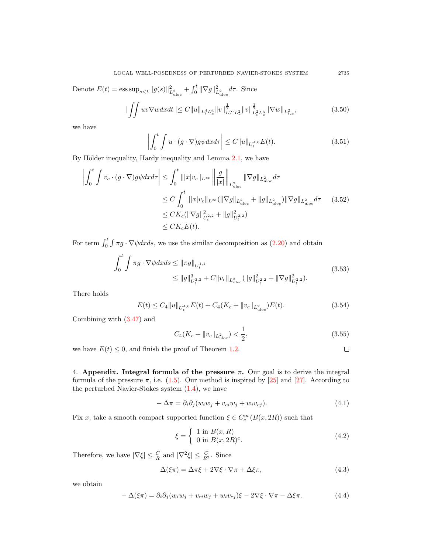Denote  $E(t) = \text{ess sup}_{s \lt t} ||g(s)||^2_{L^2_{uloc}} + \int_0^t ||\nabla g||^2_{L^2_{uloc}} d\tau$ . Since

$$
\|\iint uv \nabla w dx dt\| \le C \|u\|_{L_t^4 L_x^6} \|v\|_{L_t^\infty L_x^2}^{\frac{1}{2}} \|v\|_{L_t^2 L_x^6}^{\frac{1}{2}} \|\nabla w\|_{L_{t,x}^2},\tag{3.50}
$$

we have

$$
\left| \int_0^t \int u \cdot (g \cdot \nabla) g \psi dx d\tau \right| \le C \|u\|_{U_t^{4,6}} E(t). \tag{3.51}
$$

By Hölder inequality, Hardy inequality and Lemma [2.1,](#page-3-4) we have

$$
\left| \int_{0}^{t} \int v_{c} \cdot (g \cdot \nabla) g \psi dx d\tau \right| \leq \int_{0}^{t} |||x| v_{c}||_{L^{\infty}} \left\| \frac{g}{|x|} \right\|_{L^{2}_{uloc}} ||\nabla g||_{L^{2}_{uloc}} d\tau
$$
  
\n
$$
\leq C \int_{0}^{t} |||x| v_{c}||_{L^{\infty}} (||\nabla g||_{L^{2}_{uloc}} + ||g||_{L^{2}_{uloc}}) ||\nabla g||_{L^{2}_{uloc}} d\tau \qquad (3.52)
$$
  
\n
$$
\leq CK_{c} (||\nabla g||_{U_{t}^{2,2}}^{2} + ||g||_{U_{t}^{2,2}}^{2})
$$
  
\n
$$
\leq CK_{c} E(t).
$$

For term  $\int_0^t \int \pi g \cdot \nabla \psi dx ds$ , we use the similar decomposition as  $(2.20)$  and obtain

$$
\int_0^t \int \pi g \cdot \nabla \psi dx ds \leq \|\pi g\|_{U_t^{1,1}} \leq \|g\|_{U_t^{3,3}}^3 + C \|v_c\|_{L^2_{uloc}} (\|g\|_{U_t^{2,2}}^2 + \|\nabla g\|_{U_t^{2,2}}^2).
$$
\n(3.53)

There holds

<span id="page-16-1"></span>
$$
E(t) \le C_4 \|u\|_{U_t^{4,6}} E(t) + C_4(K_c + \|v_c\|_{L^2_{uloc}}) E(t).
$$
\n(3.54)

Combining with [\(3.47\)](#page-15-1) and

<span id="page-16-0"></span>
$$
C_4(K_c + \|v_c\|_{L^2_{uloc}}) < \frac{1}{2},\tag{3.55}
$$

we have  $E(t) \leq 0$ , and finish the proof of Theorem [1.2.](#page-3-1)

 $\Box$ 

4. Appendix. Integral formula of the pressure  $\pi$ . Our goal is to derive the integral formula of the pressure  $\pi$ , i.e. [\(1.5\)](#page-1-4). Our method is inspired by [\[25\]](#page-20-16) and [\[27\]](#page-20-17). According to the perturbed Navier-Stokes system [\(1.4\)](#page-1-3), we have

$$
-\Delta \pi = \partial_i \partial_j (w_i w_j + v_{ci} w_j + w_i v_{cj}). \tag{4.1}
$$

Fix x, take a smooth compact supported function  $\xi \in C_c^{\infty}(B(x, 2R))$  such that

$$
\xi = \begin{cases} 1 \text{ in } B(x, R) \\ 0 \text{ in } B(x, 2R)^c. \end{cases} \tag{4.2}
$$

Therefore, we have  $|\nabla \xi| \leq \frac{C}{R}$  and  $|\nabla^2 \xi| \leq \frac{C}{R^2}$ . Since

$$
\Delta(\xi \pi) = \Delta \pi \xi + 2 \nabla \xi \cdot \nabla \pi + \Delta \xi \pi, \tag{4.3}
$$

we obtain

$$
-\Delta(\xi \pi) = \partial_i \partial_j (w_i w_j + v_{ci} w_j + w_i v_{cj}) \xi - 2 \nabla \xi \cdot \nabla \pi - \Delta \xi \pi.
$$
 (4.4)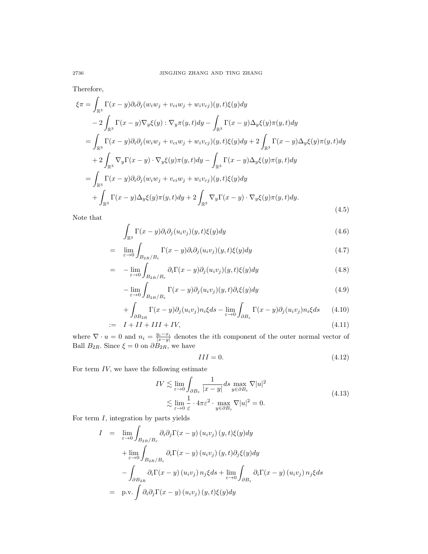Therefore,

<span id="page-17-3"></span>
$$
\xi \pi = \int_{\mathbb{R}^3} \Gamma(x - y) \partial_i \partial_j (w_i w_j + v_{ci} w_j + w_i v_{cj}) (y, t) \xi(y) dy
$$
  
\n
$$
- 2 \int_{\mathbb{R}^3} \Gamma(x - y) \nabla_y \xi(y) : \nabla_y \pi(y, t) dy - \int_{\mathbb{R}^3} \Gamma(x - y) \Delta_y \xi(y) \pi(y, t) dy
$$
  
\n
$$
= \int_{\mathbb{R}^3} \Gamma(x - y) \partial_i \partial_j (w_i w_j + v_{ci} w_j + w_i v_{cj}) (y, t) \xi(y) dy + 2 \int_{\mathbb{R}^3} \Gamma(x - y) \Delta_y \xi(y) \pi(y, t) dy
$$
  
\n
$$
+ 2 \int_{\mathbb{R}^3} \nabla_y \Gamma(x - y) \cdot \nabla_y \xi(y) \pi(y, t) dy - \int_{\mathbb{R}^3} \Gamma(x - y) \Delta_y \xi(y) \pi(y, t) dy
$$
  
\n
$$
= \int_{\mathbb{R}^3} \Gamma(x - y) \partial_i \partial_j (w_i w_j + v_{ci} w_j + w_i v_{cj}) (y, t) \xi(y) dy
$$
  
\n
$$
+ \int_{\mathbb{R}^3} \Gamma(x - y) \Delta_y \xi(y) \pi(y, t) dy + 2 \int_{\mathbb{R}^3} \nabla_y \Gamma(x - y) \cdot \nabla_y \xi(y) \pi(y, t) dy.
$$
\n(4.5)

Note that

$$
\int_{\mathbb{R}^3} \Gamma(x - y) \partial_i \partial_j (u_i v_j)(y, t) \xi(y) dy \tag{4.6}
$$

<span id="page-17-1"></span>
$$
= \lim_{\varepsilon \to 0} \int_{B_{2R}/B_{\varepsilon}} \Gamma(x - y) \partial_i \partial_j(u_i v_j)(y, t) \xi(y) dy \tag{4.7}
$$

$$
= -\lim_{\varepsilon \to 0} \int_{B_{2R}/B_{\varepsilon}} \partial_i \Gamma(x - y) \partial_j(u_i v_j)(y, t) \xi(y) dy \tag{4.8}
$$

$$
-\lim_{\varepsilon \to 0} \int_{B_{2R}/B_{\varepsilon}} \Gamma(x - y) \partial_j(u_i v_j)(y, t) \partial_i \xi(y) dy \tag{4.9}
$$

$$
+\int_{\partial B_{2R}} \Gamma(x-y)\partial_j(u_i v_j) n_i \xi ds - \lim_{\varepsilon \to 0} \int_{\partial B_{\varepsilon}} \Gamma(x-y)\partial_j(u_i v_j) n_i \xi ds \qquad (4.10)
$$

$$
I = I + II + III + IV,\tag{4.11}
$$

where  $\nabla \cdot u = 0$  and  $n_i = \frac{y_i - x_i}{|x - y|}$  denotes the *i*th component of the outer normal vector of Ball  $B_{2R}$ . Since  $\xi = 0$  on  $\partial B_{2R}$ , we have

$$
III = 0.\t\t(4.12)
$$

For term  $IV$ , we have the following estimate

<span id="page-17-2"></span>
$$
IV \lesssim \lim_{\varepsilon \to 0} \int_{\partial B_{\varepsilon}} \frac{1}{|x - y|} ds \max_{y \in \partial B_{\varepsilon}} \nabla |u|^2
$$
  

$$
\lesssim \lim_{\varepsilon \to 0} \frac{1}{\varepsilon} \cdot 4\pi \varepsilon^2 \cdot \max_{y \in \partial B_{\varepsilon}} \nabla |u|^2 = 0.
$$
 (4.13)

For term  $I$ , integration by parts yields

<span id="page-17-0"></span>
$$
I = \lim_{\varepsilon \to 0} \int_{B_{2R}/B_{\varepsilon}} \partial_i \partial_j \Gamma(x - y) (u_i v_j) (y, t) \xi(y) dy
$$
  
+ 
$$
\lim_{\varepsilon \to 0} \int_{B_{2R}/B_{\varepsilon}} \partial_i \Gamma(x - y) (u_i v_j) (y, t) \partial_j \xi(y) dy
$$
  
- 
$$
\int_{\partial B_{2R}} \partial_i \Gamma(x - y) (u_i v_j) n_j \xi ds + \lim_{\varepsilon \to 0} \int_{\partial B_{\varepsilon}} \partial_i \Gamma(x - y) (u_i v_j) n_j \xi ds
$$
  
= p.v. 
$$
\int \partial_i \partial_j \Gamma(x - y) (u_i v_j) (y, t) \xi(y) dy
$$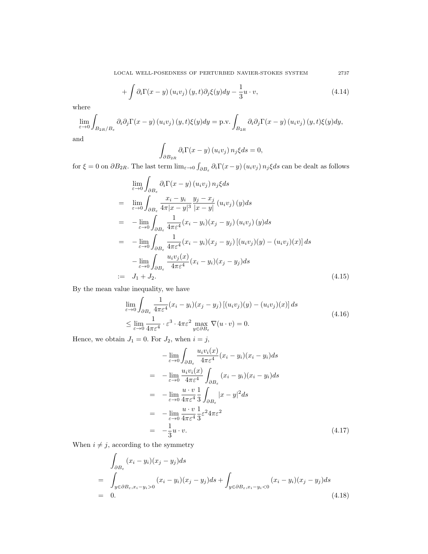LOCAL WELL-POSEDNESS OF PERTURBED NAVIER-STOKES SYSTEM 2737

$$
+\int \partial_i \Gamma(x-y) \left(u_i v_j\right)(y,t) \partial_j \xi(y) dy - \frac{1}{3} u \cdot v, \tag{4.14}
$$

where

$$
\lim_{\varepsilon \to 0} \int_{B_{2R}/B_{\varepsilon}} \partial_i \partial_j \Gamma(x - y) (u_i v_j) (y, t) \xi(y) dy = \text{p.v.} \int_{B_{2R}} \partial_i \partial_j \Gamma(x - y) (u_i v_j) (y, t) \xi(y) dy,
$$
  
and

a

$$
\int_{\partial B_{2R}} \partial_i \Gamma(x - y) (u_i v_j) n_j \xi ds = 0,
$$

for  $\xi = 0$  on  $\partial B_{2R}$ . The last term  $\lim_{\varepsilon \to 0} \int_{\partial B_{\varepsilon}} \partial_i \Gamma(x - y) (u_i v_j) n_j \xi ds$  can be dealt as follows

<span id="page-18-0"></span>
$$
\lim_{\varepsilon \to 0} \int_{\partial B_{\varepsilon}} \partial_i \Gamma(x - y) (u_i v_j) n_j \xi ds
$$
\n
$$
= \lim_{\varepsilon \to 0} \int_{\partial B_{\varepsilon}} \frac{x_i - y_i}{4\pi |x - y|^3} \frac{y_j - x_j}{|x - y|} (u_i v_j) (y) ds
$$
\n
$$
= -\lim_{\varepsilon \to 0} \int_{\partial B_{\varepsilon}} \frac{1}{4\pi \varepsilon^4} (x_i - y_i) (x_j - y_j) (u_i v_j) (y) ds
$$
\n
$$
= -\lim_{\varepsilon \to 0} \int_{\partial B_{\varepsilon}} \frac{1}{4\pi \varepsilon^4} (x_i - y_i) (x_j - y_j) [(u_i v_j) (y) - (u_i v_j) (x)] ds
$$
\n
$$
- \lim_{\varepsilon \to 0} \int_{\partial B_{\varepsilon}} \frac{u_i v_j(x)}{4\pi \varepsilon^4} (x_i - y_i) (x_j - y_j) ds
$$
\n
$$
:= J_1 + J_2.
$$
\n(4.15)

By the mean value inequality, we have

$$
\lim_{\varepsilon \to 0} \int_{\partial B_{\varepsilon}} \frac{1}{4\pi \varepsilon^4} (x_i - y_i)(x_j - y_j) \left[ (u_i v_j)(y) - (u_i v_j)(x) \right] ds
$$
\n
$$
\leq \lim_{\varepsilon \to 0} \frac{1}{4\pi \varepsilon^4} \cdot \varepsilon^3 \cdot 4\pi \varepsilon^2 \max_{y \in \partial B_{\varepsilon}} \nabla (u \cdot v) = 0.
$$
\n(4.16)

Hence, we obtain  $J_1 = 0$ . For  $J_2$ , when  $i = j$ ,

$$
-\lim_{\varepsilon \to 0} \int_{\partial B_{\varepsilon}} \frac{u_i v_i(x)}{4\pi \varepsilon^4} (x_i - y_i)(x_i - y_i) ds
$$
  
\n
$$
= -\lim_{\varepsilon \to 0} \frac{u_i v_i(x)}{4\pi \varepsilon^4} \int_{\partial B_{\varepsilon}} (x_i - y_i)(x_i - y_i) ds
$$
  
\n
$$
= -\lim_{\varepsilon \to 0} \frac{u \cdot v}{4\pi \varepsilon^4} \frac{1}{3} \int_{\partial B_{\varepsilon}} |x - y|^2 ds
$$
  
\n
$$
= -\lim_{\varepsilon \to 0} \frac{u \cdot v}{4\pi \varepsilon^4} \frac{1}{3} \varepsilon^2 4\pi \varepsilon^2
$$
  
\n
$$
= -\frac{1}{3} u \cdot v.
$$
 (4.17)

When  $i\neq j,$  according to the symmetry

<span id="page-18-1"></span>
$$
\int_{\partial B_{\varepsilon}} (x_i - y_i)(x_j - y_j) ds
$$
\n
$$
= \int_{y \in \partial B_{\varepsilon}, x_i - y_i > 0} (x_i - y_i)(x_j - y_j) ds + \int_{y \in \partial B_{\varepsilon}, x_i - y_i < 0} (x_i - y_i)(x_j - y_j) ds
$$
\n
$$
= 0.
$$
\n(4.18)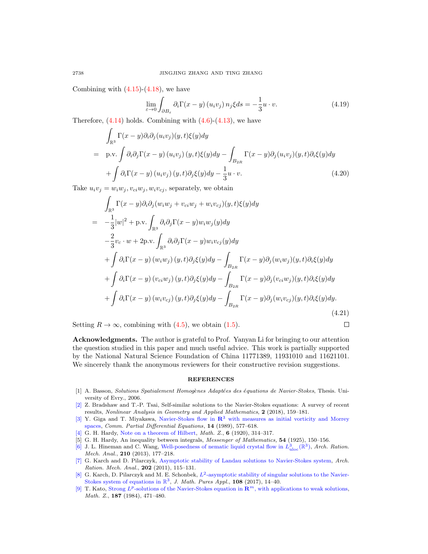Combining with  $(4.15)-(4.18)$  $(4.15)-(4.18)$ , we have

$$
\lim_{\varepsilon \to 0} \int_{\partial B_{\varepsilon}} \partial_i \Gamma(x - y) \left( u_i v_j \right) n_j \xi ds = -\frac{1}{3} u \cdot v. \tag{4.19}
$$

Therefore,  $(4.14)$  holds. Combining with  $(4.6)-(4.13)$  $(4.6)-(4.13)$ , we have

$$
\int_{\mathbb{R}^3} \Gamma(x - y) \partial_i \partial_j (u_i v_j)(y, t) \xi(y) dy
$$
\n
$$
= p.v. \int \partial_i \partial_j \Gamma(x - y) (u_i v_j)(y, t) \xi(y) dy - \int_{B_{2R}} \Gamma(x - y) \partial_j (u_i v_j)(y, t) \partial_i \xi(y) dy
$$
\n
$$
+ \int \partial_i \Gamma(x - y) (u_i v_j)(y, t) \partial_j \xi(y) dy - \frac{1}{3} u \cdot v.
$$
\n(4.20)

Take  $u_i v_j = w_i w_j, v_{ci} w_j, w_i v_{cj}$ , separately, we obtain

$$
\int_{\mathbb{R}^3} \Gamma(x - y) \partial_i \partial_j (w_i w_j + v_{ci} w_j + w_i v_{cj}) (y, t) \xi(y) dy
$$
\n
$$
= -\frac{1}{3} |w|^2 + \text{p.v.} \int_{\mathbb{R}^3} \partial_i \partial_j \Gamma(x - y) w_i w_j(y) dy
$$
\n
$$
- \frac{2}{3} v_c \cdot w + 2 \text{p.v.} \int_{\mathbb{R}^3} \partial_i \partial_j \Gamma(x - y) w_i v_{cj}(y) dy
$$
\n
$$
+ \int \partial_i \Gamma(x - y) (w_i w_j) (y, t) \partial_j \xi(y) dy - \int_{B_{2R}} \Gamma(x - y) \partial_j (w_i w_j) (y, t) \partial_i \xi(y) dy
$$
\n
$$
+ \int \partial_i \Gamma(x - y) (v_{ci} w_j) (y, t) \partial_j \xi(y) dy - \int_{B_{2R}} \Gamma(x - y) \partial_j (v_{ci} w_j) (y, t) \partial_i \xi(y) dy
$$
\n
$$
+ \int \partial_i \Gamma(x - y) (w_i v_{cj}) (y, t) \partial_j \xi(y) dy - \int_{B_{2R}} \Gamma(x - y) \partial_j (w_i v_{cj}) (y, t) \partial_i \xi(y) dy.
$$
\n(4.21)

 $\Box$ 

Setting  $R \to \infty$ , combining with [\(4.5\)](#page-17-3), we obtain [\(1.5\)](#page-1-4).

Acknowledgments. The author is grateful to Prof. Yanyan Li for bringing to our attention the question studied in this paper and much useful advice. This work is partially supported by the National Natural Science Foundation of China 11771389, 11931010 and 11621101. We sincerely thank the anonymous reviewers for their constructive revision suggestions.

## REFERENCES

- <span id="page-19-3"></span>[1] A. Basson, Solutions Spatialement Homogènes Adaptées des équations de Navier-Stokes, Thesis. University of Evry., 2006.
- <span id="page-19-2"></span>[\[2\]](http://www.ams.org/mathscinet-getitem?mr=MR3823886&return=pdf) Z. Bradshaw and T.-P. Tsai, Self-similar solutions to the Navier-Stokes equations: A survey of recent results, Nonlinear Analysis in Geometry and Applied Mathematics, 2 (2018), 159–181.
- <span id="page-19-1"></span>[\[3\]](http://www.ams.org/mathscinet-getitem?mr=MR993821&return=pdf) Y. Giga and T. Miyakawa, Navier-Stokes flow in  $\mathbb{R}^3$  [with measures as initial vorticity and Morrey](http://dx.doi.org/10.1080/03605308908820621) [spaces,](http://dx.doi.org/10.1080/03605308908820621) Comm. Partial Differential Equations, 14 (1989), 577–618.
- <span id="page-19-7"></span>[\[4\]](http://www.ams.org/mathscinet-getitem?mr=MR1544414&return=pdf) G. H. Hardy, [Note on a theorem of Hilbert,](http://dx.doi.org/10.1007/BF01199965) Math. Z., 6 (1920), 314–317.
- <span id="page-19-8"></span>[5] G. H. Hardy, An inequality between integrals, Messenger of Mathematics, 54 (1925), 150–156.
- <span id="page-19-4"></span>[\[6\]](http://www.ams.org/mathscinet-getitem?mr=MR3073152&return=pdf) J. L. Hineman and C. Wang, [Well-posedness of nematic liquid crystal flow in](http://dx.doi.org/10.1007/s00205-013-0643-7)  $L^3_{uloc}(\mathbb{R}^3)$ , Arch. Ration. Mech. Anal., 210 (2013), 177–218.
- <span id="page-19-5"></span>[\[7\]](http://www.ams.org/mathscinet-getitem?mr=MR2835864&return=pdf) G. Karch and D. Pilarczyk, [Asymptotic stability of Landau solutions to Navier-Stokes system,](http://dx.doi.org/10.1007/s00205-011-0409-z) Arch. Ration. Mech. Anal., 202 (2011), 115–131.
- <span id="page-19-6"></span>[\[8\]](http://www.ams.org/mathscinet-getitem?mr=MR3660767&return=pdf) G. Karch, D. Pilarczyk and M. E. Schonbek,  $L^2$ [-asymptotic stability of singular solutions to the Navier-](http://dx.doi.org/10.1016/j.matpur.2016.10.008)[Stokes system of equations in](http://dx.doi.org/10.1016/j.matpur.2016.10.008)  $\mathbb{R}^3$ , J. Math. Pures Appl., 108 (2017), 14-40.
- <span id="page-19-0"></span>[\[9\]](http://www.ams.org/mathscinet-getitem?mr=MR760047&return=pdf) T. Kato, Strong  $L^p$ [-solutions of the Navier-Stokes equation in](http://dx.doi.org/10.1007/BF01174182)  $\mathbb{R}^m$ , with applications to weak solutions, Math. Z., 187 (1984), 471–480.